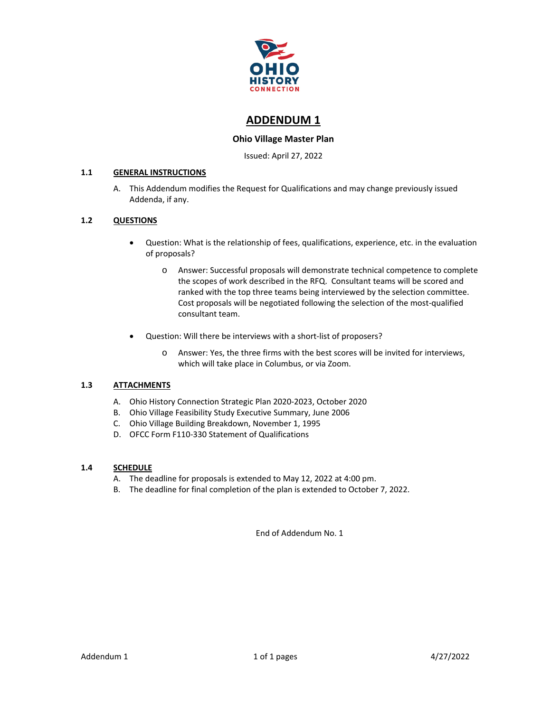

## **ADDENDUM 1**

#### **Ohio Village Master Plan**

Issued: April 27, 2022

#### **1.1 GENERAL INSTRUCTIONS**

A. This Addendum modifies the Request for Qualifications and may change previously issued Addenda, if any.

#### **1.2 QUESTIONS**

- Question: What is the relationship of fees, qualifications, experience, etc. in the evaluation of proposals?
	- o Answer: Successful proposals will demonstrate technical competence to complete the scopes of work described in the RFQ. Consultant teams will be scored and ranked with the top three teams being interviewed by the selection committee. Cost proposals will be negotiated following the selection of the most-qualified consultant team.
- Question: Will there be interviews with a short-list of proposers?
	- o Answer: Yes, the three firms with the best scores will be invited for interviews, which will take place in Columbus, or via Zoom.

#### **1.3 ATTACHMENTS**

- A. Ohio History Connection Strategic Plan 2020-2023, October 2020
- B. Ohio Village Feasibility Study Executive Summary, June 2006
- C. Ohio Village Building Breakdown, November 1, 1995
- D. OFCC Form F110-330 Statement of Qualifications

#### **1.4 SCHEDULE**

- A. The deadline for proposals is extended to May 12, 2022 at 4:00 pm.
- B. The deadline for final completion of the plan is extended to October 7, 2022.

End of Addendum No. 1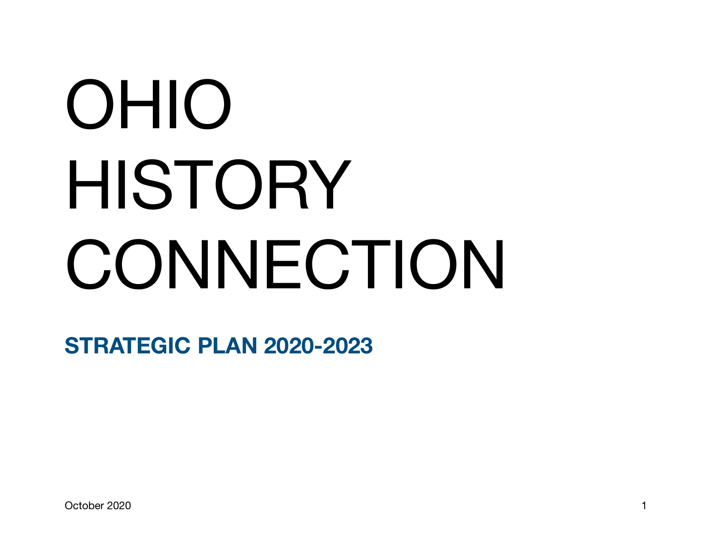# OHIO HISTORY **CONNECTION**

**STRATEGIC PLAN 2020-2023**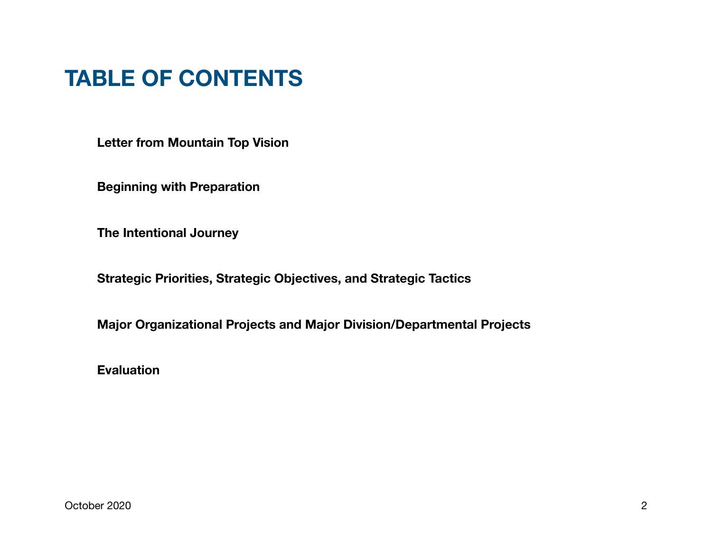# **TABLE OF CONTENTS**

**Letter from Mountain Top Vision** 

**Beginning with Preparation** 

**The Intentional Journey** 

**Strategic Priorities, Strategic Objectives, and Strategic Tactics** 

**Major Organizational Projects and Major Division/Departmental Projects** 

**Evaluation**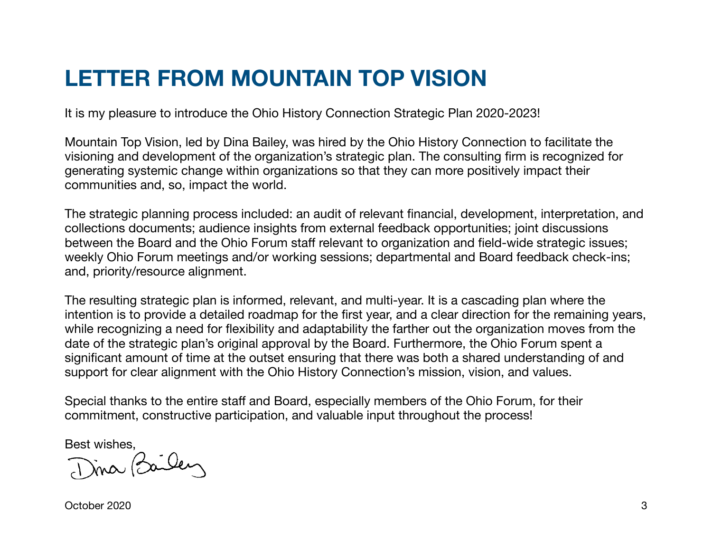# **LETTER FROM MOUNTAIN TOP VISION**

It is my pleasure to introduce the Ohio History Connection Strategic Plan 2020-2023!

Mountain Top Vision, led by Dina Bailey, was hired by the Ohio History Connection to facilitate the visioning and development of the organization's strategic plan. The consulting firm is recognized for generating systemic change within organizations so that they can more positively impact their communities and, so, impact the world.

The strategic planning process included: an audit of relevant financial, development, interpretation, and collections documents; audience insights from external feedback opportunities; joint discussions between the Board and the Ohio Forum staff relevant to organization and field-wide strategic issues; weekly Ohio Forum meetings and/or working sessions; departmental and Board feedback check-ins; and, priority/resource alignment.

The resulting strategic plan is informed, relevant, and multi-year. It is a cascading plan where the intention is to provide a detailed roadmap for the first year, and a clear direction for the remaining years, while recognizing a need for flexibility and adaptability the farther out the organization moves from the date of the strategic plan's original approval by the Board. Furthermore, the Ohio Forum spent a significant amount of time at the outset ensuring that there was both a shared understanding of and support for clear alignment with the Ohio History Connection's mission, vision, and values.

Special thanks to the entire staff and Board, especially members of the Ohio Forum, for their commitment, constructive participation, and valuable input throughout the process!

Best wishes,<br>Dina Bailen

October 2020 3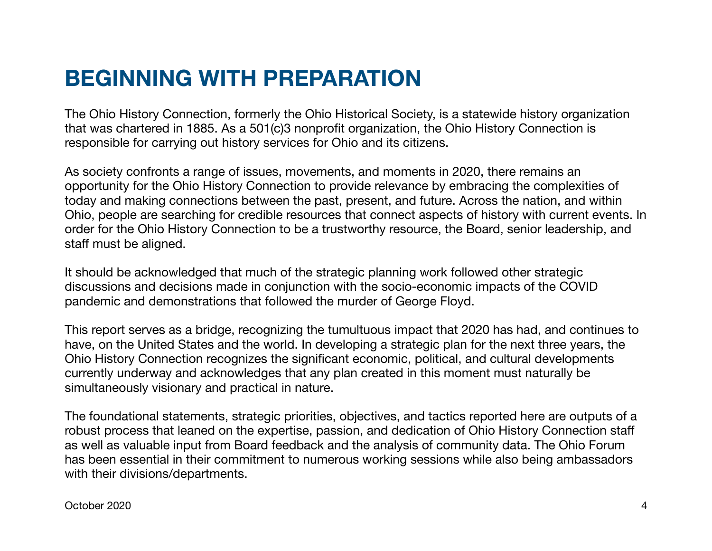# **BEGINNING WITH PREPARATION**

The Ohio History Connection, formerly the Ohio Historical Society, is a statewide history organization that was chartered in 1885. As a 501(c)3 nonprofit organization, the Ohio History Connection is responsible for carrying out history services for Ohio and its citizens.

As society confronts a range of issues, movements, and moments in 2020, there remains an opportunity for the Ohio History Connection to provide relevance by embracing the complexities of today and making connections between the past, present, and future. Across the nation, and within Ohio, people are searching for credible resources that connect aspects of history with current events. In order for the Ohio History Connection to be a trustworthy resource, the Board, senior leadership, and staff must be aligned.

It should be acknowledged that much of the strategic planning work followed other strategic discussions and decisions made in conjunction with the socio-economic impacts of the COVID pandemic and demonstrations that followed the murder of George Floyd.

This report serves as a bridge, recognizing the tumultuous impact that 2020 has had, and continues to have, on the United States and the world. In developing a strategic plan for the next three years, the Ohio History Connection recognizes the significant economic, political, and cultural developments currently underway and acknowledges that any plan created in this moment must naturally be simultaneously visionary and practical in nature.

The foundational statements, strategic priorities, objectives, and tactics reported here are outputs of a robust process that leaned on the expertise, passion, and dedication of Ohio History Connection staff as well as valuable input from Board feedback and the analysis of community data. The Ohio Forum has been essential in their commitment to numerous working sessions while also being ambassadors with their divisions/departments.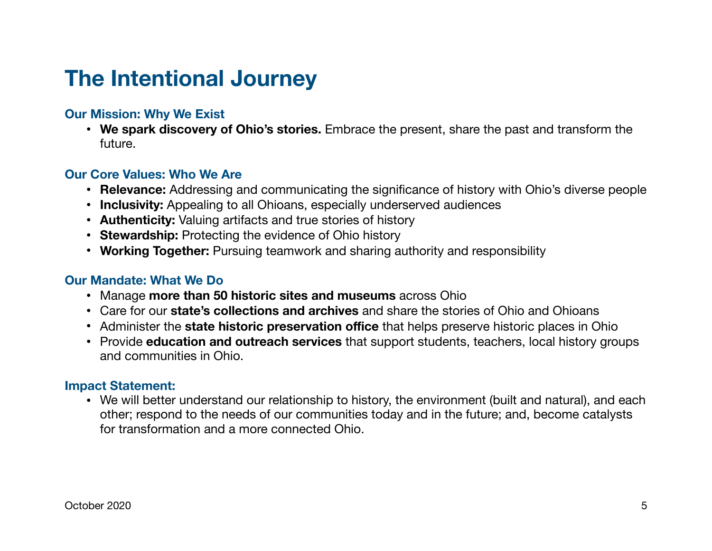# **The Intentional Journey**

## **Our Mission: Why We Exist**

• **We spark discovery of Ohio's stories.** Embrace the present, share the past and transform the future.

## **Our Core Values: Who We Are**

- **Relevance:** Addressing and communicating the significance of history with Ohio's diverse people
- **Inclusivity:** Appealing to all Ohioans, especially underserved audiences
- **Authenticity:** Valuing artifacts and true stories of history
- **Stewardship:** Protecting the evidence of Ohio history
- **Working Together:** Pursuing teamwork and sharing authority and responsibility

## **Our Mandate: What We Do**

- Manage **more than 50 historic sites and museums** across Ohio
- Care for our **state's collections and archives** and share the stories of Ohio and Ohioans
- Administer the **state historic preservation office** that helps preserve historic places in Ohio
- Provide **education and outreach services** that support students, teachers, local history groups and communities in Ohio.

## **Impact Statement:**

• We will better understand our relationship to history, the environment (built and natural), and each other; respond to the needs of our communities today and in the future; and, become catalysts for transformation and a more connected Ohio.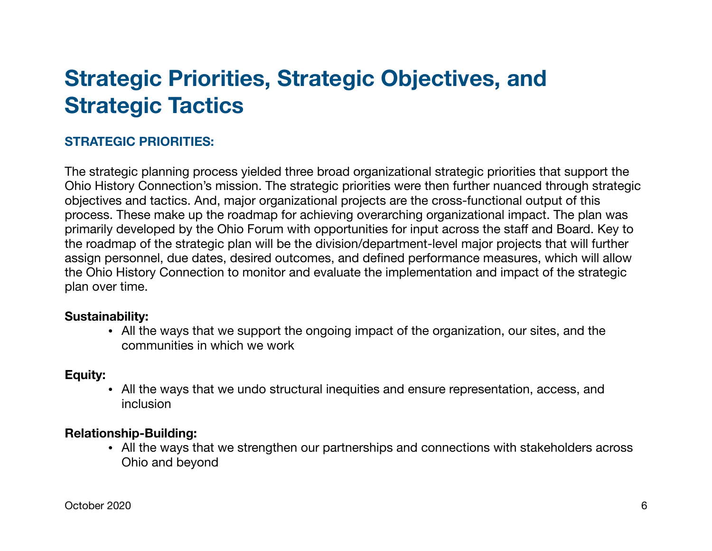# **Strategic Priorities, Strategic Objectives, and Strategic Tactics**

## **STRATEGIC PRIORITIES:**

The strategic planning process yielded three broad organizational strategic priorities that support the Ohio History Connection's mission. The strategic priorities were then further nuanced through strategic objectives and tactics. And, major organizational projects are the cross-functional output of this process. These make up the roadmap for achieving overarching organizational impact. The plan was primarily developed by the Ohio Forum with opportunities for input across the staff and Board. Key to the roadmap of the strategic plan will be the division/department-level major projects that will further assign personnel, due dates, desired outcomes, and defined performance measures, which will allow the Ohio History Connection to monitor and evaluate the implementation and impact of the strategic plan over time.

## **Sustainability:**

**•** All the ways that we support the ongoing impact of the organization, our sites, and the communities in which we work

## **Equity:**

**•** All the ways that we undo structural inequities and ensure representation, access, and inclusion

## **Relationship-Building:**

**•** All the ways that we strengthen our partnerships and connections with stakeholders across Ohio and beyond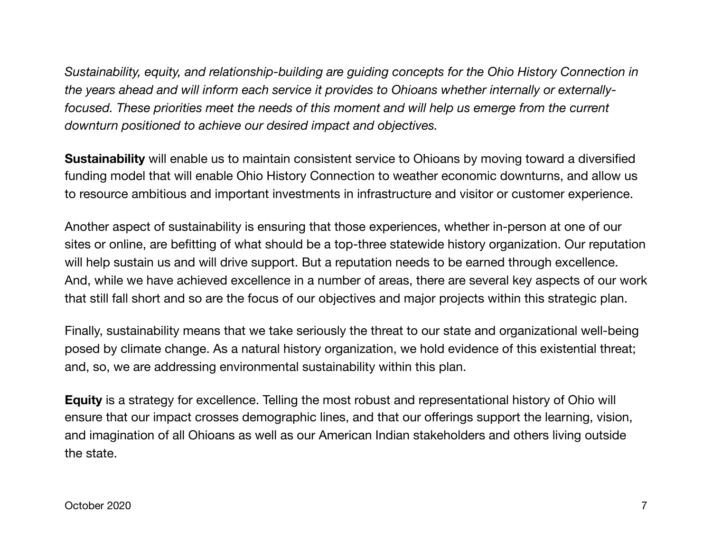*Sustainability, equity, and relationship-building are guiding concepts for the Ohio History Connection in the years ahead and will inform each service it provides to Ohioans whether internally or externallyfocused. These priorities meet the needs of this moment and will help us emerge from the current downturn positioned to achieve our desired impact and objectives.*

**Sustainability** will enable us to maintain consistent service to Ohioans by moving toward a diversified funding model that will enable Ohio History Connection to weather economic downturns, and allow us to resource ambitious and important investments in infrastructure and visitor or customer experience.

Another aspect of sustainability is ensuring that those experiences, whether in-person at one of our sites or online, are befitting of what should be a top-three statewide history organization. Our reputation will help sustain us and will drive support. But a reputation needs to be earned through excellence. And, while we have achieved excellence in a number of areas, there are several key aspects of our work that still fall short and so are the focus of our objectives and major projects within this strategic plan.

Finally, sustainability means that we take seriously the threat to our state and organizational well-being posed by climate change. As a natural history organization, we hold evidence of this existential threat; and, so, we are addressing environmental sustainability within this plan.

**Equity** is a strategy for excellence. Telling the most robust and representational history of Ohio will ensure that our impact crosses demographic lines, and that our offerings support the learning, vision, and imagination of all Ohioans as well as our American Indian stakeholders and others living outside the state.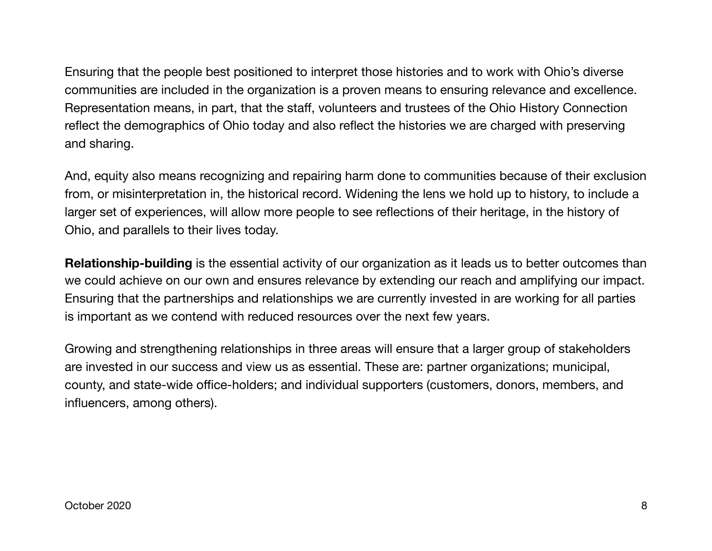Ensuring that the people best positioned to interpret those histories and to work with Ohio's diverse communities are included in the organization is a proven means to ensuring relevance and excellence. Representation means, in part, that the staff, volunteers and trustees of the Ohio History Connection reflect the demographics of Ohio today and also reflect the histories we are charged with preserving and sharing.

And, equity also means recognizing and repairing harm done to communities because of their exclusion from, or misinterpretation in, the historical record. Widening the lens we hold up to history, to include a larger set of experiences, will allow more people to see reflections of their heritage, in the history of Ohio, and parallels to their lives today.

**Relationship-building** is the essential activity of our organization as it leads us to better outcomes than we could achieve on our own and ensures relevance by extending our reach and amplifying our impact. Ensuring that the partnerships and relationships we are currently invested in are working for all parties is important as we contend with reduced resources over the next few years.

Growing and strengthening relationships in three areas will ensure that a larger group of stakeholders are invested in our success and view us as essential. These are: partner organizations; municipal, county, and state-wide office-holders; and individual supporters (customers, donors, members, and influencers, among others).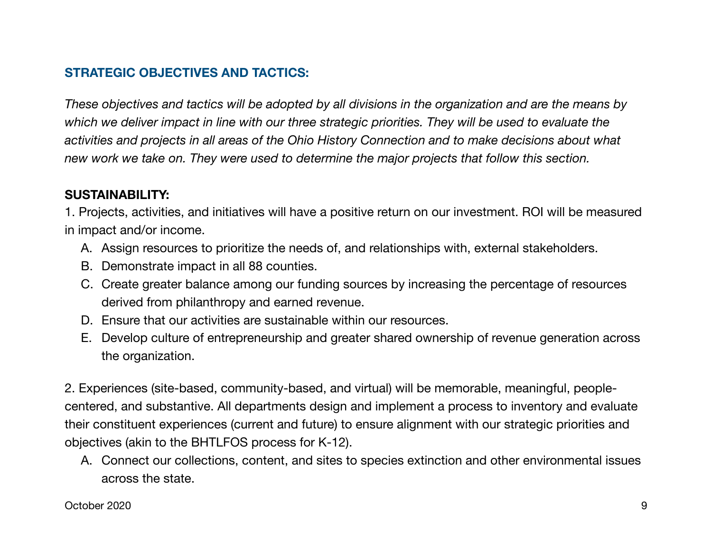## **STRATEGIC OBJECTIVES AND TACTICS:**

*These objectives and tactics will be adopted by all divisions in the organization and are the means by which we deliver impact in line with our three strategic priorities. They will be used to evaluate the activities and projects in all areas of the Ohio History Connection and to make decisions about what new work we take on. They were used to determine the major projects that follow this section.*

## **SUSTAINABILITY:**

1. Projects, activities, and initiatives will have a positive return on our investment. ROI will be measured in impact and/or income.

- A. Assign resources to prioritize the needs of, and relationships with, external stakeholders.
- B. Demonstrate impact in all 88 counties.
- C. Create greater balance among our funding sources by increasing the percentage of resources derived from philanthropy and earned revenue.
- D. Ensure that our activities are sustainable within our resources.
- E. Develop culture of entrepreneurship and greater shared ownership of revenue generation across the organization.

2. Experiences (site-based, community-based, and virtual) will be memorable, meaningful, peoplecentered, and substantive. All departments design and implement a process to inventory and evaluate their constituent experiences (current and future) to ensure alignment with our strategic priorities and objectives (akin to the BHTLFOS process for K-12).

A. Connect our collections, content, and sites to species extinction and other environmental issues across the state.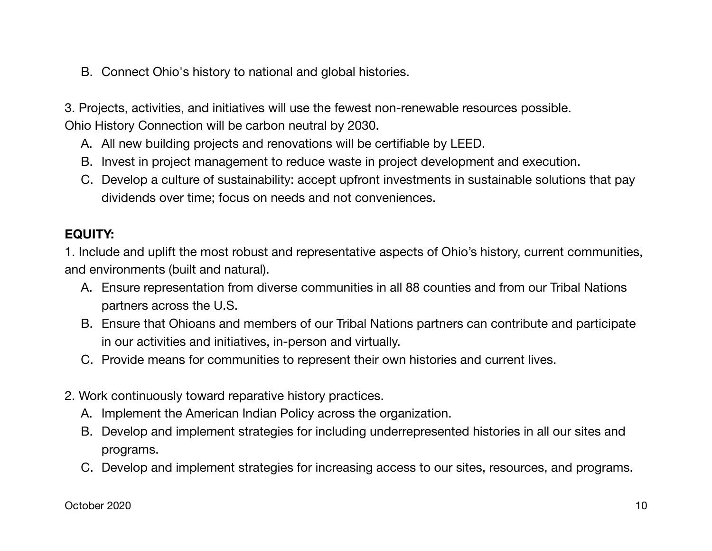B. Connect Ohio's history to national and global histories.

3. Projects, activities, and initiatives will use the fewest non-renewable resources possible. Ohio History Connection will be carbon neutral by 2030.

- A. All new building projects and renovations will be certifiable by LEED.
- B. Invest in project management to reduce waste in project development and execution.
- C. Develop a culture of sustainability: accept upfront investments in sustainable solutions that pay dividends over time; focus on needs and not conveniences.

## **EQUITY:**

1. Include and uplift the most robust and representative aspects of Ohio's history, current communities, and environments (built and natural).

- A. Ensure representation from diverse communities in all 88 counties and from our Tribal Nations partners across the U.S.
- B. Ensure that Ohioans and members of our Tribal Nations partners can contribute and participate in our activities and initiatives, in-person and virtually.
- C. Provide means for communities to represent their own histories and current lives.
- 2. Work continuously toward reparative history practices.
	- A. Implement the American Indian Policy across the organization.
	- B. Develop and implement strategies for including underrepresented histories in all our sites and programs.
	- C. Develop and implement strategies for increasing access to our sites, resources, and programs.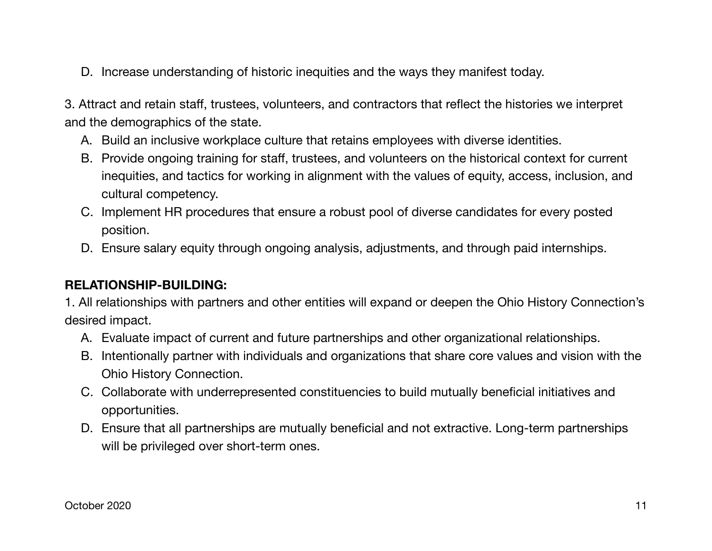D. Increase understanding of historic inequities and the ways they manifest today.

3. Attract and retain staff, trustees, volunteers, and contractors that reflect the histories we interpret and the demographics of the state.

- A. Build an inclusive workplace culture that retains employees with diverse identities.
- B. Provide ongoing training for staff, trustees, and volunteers on the historical context for current inequities, and tactics for working in alignment with the values of equity, access, inclusion, and cultural competency.
- C. Implement HR procedures that ensure a robust pool of diverse candidates for every posted position.
- D. Ensure salary equity through ongoing analysis, adjustments, and through paid internships.

## **RELATIONSHIP-BUILDING:**

1. All relationships with partners and other entities will expand or deepen the Ohio History Connection's desired impact.

- A. Evaluate impact of current and future partnerships and other organizational relationships.
- B. Intentionally partner with individuals and organizations that share core values and vision with the Ohio History Connection.
- C. Collaborate with underrepresented constituencies to build mutually beneficial initiatives and opportunities.
- D. Ensure that all partnerships are mutually beneficial and not extractive. Long-term partnerships will be privileged over short-term ones.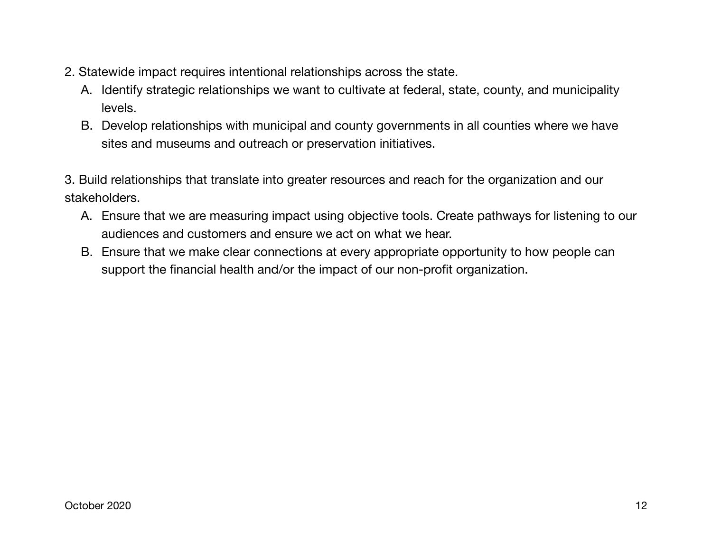- 2. Statewide impact requires intentional relationships across the state.
	- A. Identify strategic relationships we want to cultivate at federal, state, county, and municipality levels.
	- B. Develop relationships with municipal and county governments in all counties where we have sites and museums and outreach or preservation initiatives.
- 3. Build relationships that translate into greater resources and reach for the organization and our stakeholders.
	- A. Ensure that we are measuring impact using objective tools. Create pathways for listening to our audiences and customers and ensure we act on what we hear.
	- B. Ensure that we make clear connections at every appropriate opportunity to how people can support the financial health and/or the impact of our non-profit organization.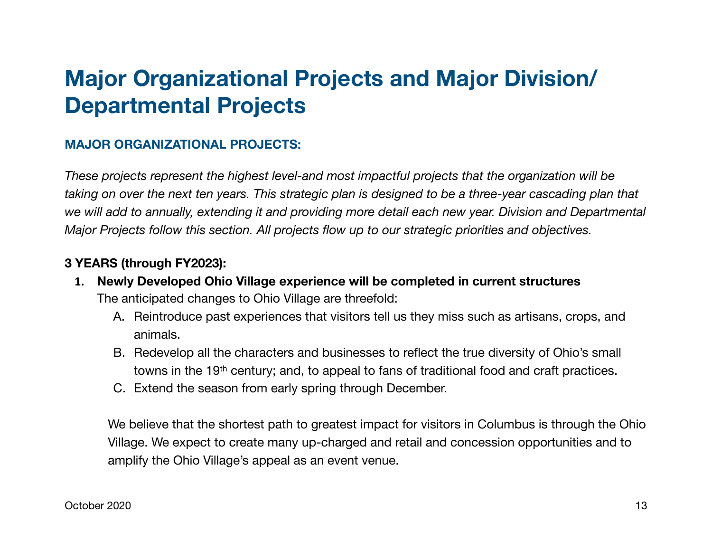# **Major Organizational Projects and Major Division/ Departmental Projects**

## **MAJOR ORGANIZATIONAL PROJECTS:**

*These projects represent the highest level-and most impactful projects that the organization will be taking on over the next ten years. This strategic plan is designed to be a three-year cascading plan that we will add to annually, extending it and providing more detail each new year. Division and Departmental Major Projects follow this section. All projects flow up to our strategic priorities and objectives.*

## **3 YEARS (through FY2023):**

- **1. Newly Developed Ohio Village experience will be completed in current structures** The anticipated changes to Ohio Village are threefold:
	- A. Reintroduce past experiences that visitors tell us they miss such as artisans, crops, and animals.
	- B. Redevelop all the characters and businesses to reflect the true diversity of Ohio's small towns in the 19th century; and, to appeal to fans of traditional food and craft practices.
	- C. Extend the season from early spring through December.

We believe that the shortest path to greatest impact for visitors in Columbus is through the Ohio Village. We expect to create many up-charged and retail and concession opportunities and to amplify the Ohio Village's appeal as an event venue.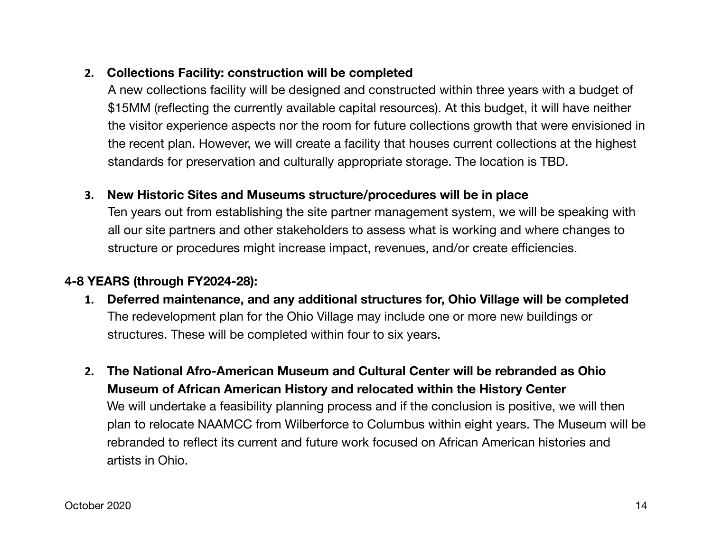## **2. Collections Facility: construction will be completed**

A new collections facility will be designed and constructed within three years with a budget of \$15MM (reflecting the currently available capital resources). At this budget, it will have neither the visitor experience aspects nor the room for future collections growth that were envisioned in the recent plan. However, we will create a facility that houses current collections at the highest standards for preservation and culturally appropriate storage. The location is TBD.

## **3. New Historic Sites and Museums structure/procedures will be in place**

Ten years out from establishing the site partner management system, we will be speaking with all our site partners and other stakeholders to assess what is working and where changes to structure or procedures might increase impact, revenues, and/or create efficiencies.

## **4-8 YEARS (through FY2024-28):**

- **1. Deferred maintenance, and any additional structures for, Ohio Village will be completed**  The redevelopment plan for the Ohio Village may include one or more new buildings or structures. These will be completed within four to six years.
- **2. The National Afro-American Museum and Cultural Center will be rebranded as Ohio Museum of African American History and relocated within the History Center** We will undertake a feasibility planning process and if the conclusion is positive, we will then plan to relocate NAAMCC from Wilberforce to Columbus within eight years. The Museum will be rebranded to reflect its current and future work focused on African American histories and artists in Ohio.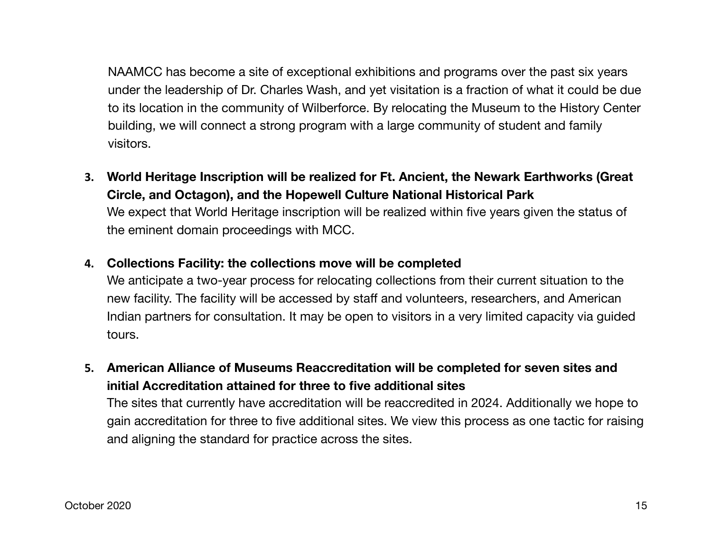NAAMCC has become a site of exceptional exhibitions and programs over the past six years under the leadership of Dr. Charles Wash, and yet visitation is a fraction of what it could be due to its location in the community of Wilberforce. By relocating the Museum to the History Center building, we will connect a strong program with a large community of student and family visitors.

- **3. World Heritage Inscription will be realized for Ft. Ancient, the Newark Earthworks (Great Circle, and Octagon), and the Hopewell Culture National Historical Park** We expect that World Heritage inscription will be realized within five years given the status of the eminent domain proceedings with MCC.
- **4. Collections Facility: the collections move will be completed**

We anticipate a two-year process for relocating collections from their current situation to the new facility. The facility will be accessed by staff and volunteers, researchers, and American Indian partners for consultation. It may be open to visitors in a very limited capacity via guided tours.

**5. American Alliance of Museums Reaccreditation will be completed for seven sites and initial Accreditation attained for three to five additional sites**

The sites that currently have accreditation will be reaccredited in 2024. Additionally we hope to gain accreditation for three to five additional sites. We view this process as one tactic for raising and aligning the standard for practice across the sites.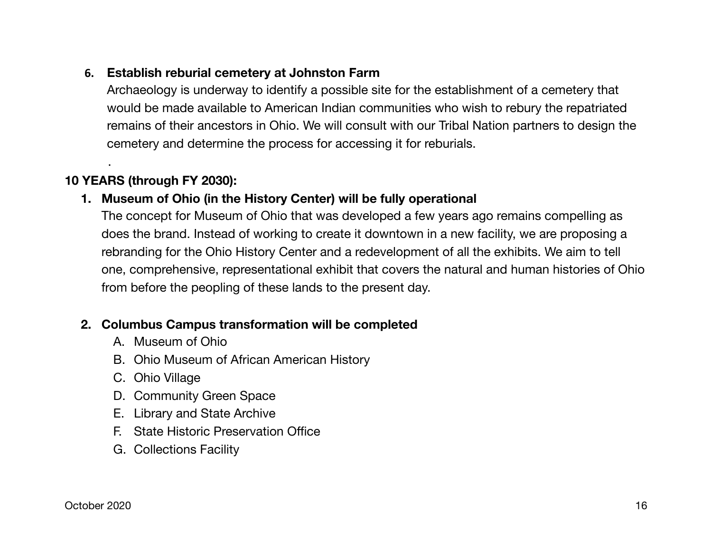## **6. Establish reburial cemetery at Johnston Farm**

Archaeology is underway to identify a possible site for the establishment of a cemetery that would be made available to American Indian communities who wish to rebury the repatriated remains of their ancestors in Ohio. We will consult with our Tribal Nation partners to design the cemetery and determine the process for accessing it for reburials.

## **10 YEARS (through FY 2030):**

.

## **1. Museum of Ohio (in the History Center) will be fully operational**

The concept for Museum of Ohio that was developed a few years ago remains compelling as does the brand. Instead of working to create it downtown in a new facility, we are proposing a rebranding for the Ohio History Center and a redevelopment of all the exhibits. We aim to tell one, comprehensive, representational exhibit that covers the natural and human histories of Ohio from before the peopling of these lands to the present day.

## **2. Columbus Campus transformation will be completed**

- A. Museum of Ohio
- B. Ohio Museum of African American History
- C. Ohio Village
- D. Community Green Space
- E. Library and State Archive
- F. State Historic Preservation Office
- G. Collections Facility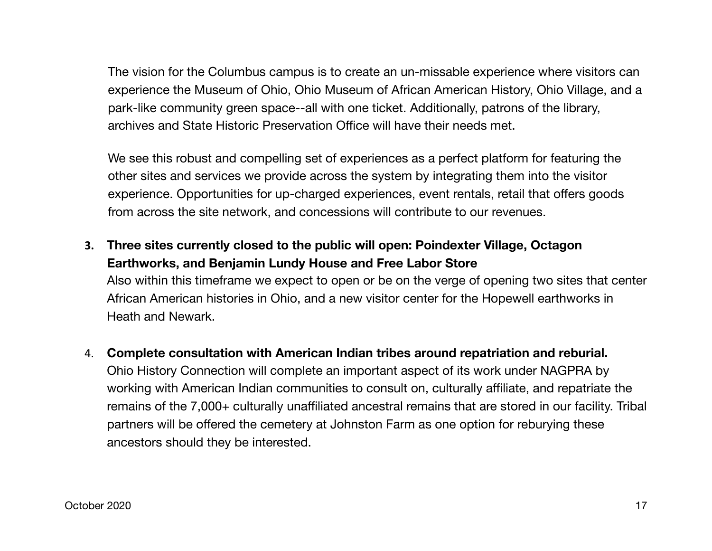The vision for the Columbus campus is to create an un-missable experience where visitors can experience the Museum of Ohio, Ohio Museum of African American History, Ohio Village, and a park-like community green space--all with one ticket. Additionally, patrons of the library, archives and State Historic Preservation Office will have their needs met.

We see this robust and compelling set of experiences as a perfect platform for featuring the other sites and services we provide across the system by integrating them into the visitor experience. Opportunities for up-charged experiences, event rentals, retail that offers goods from across the site network, and concessions will contribute to our revenues.

## **3. Three sites currently closed to the public will open: Poindexter Village, Octagon Earthworks, and Benjamin Lundy House and Free Labor Store**

Also within this timeframe we expect to open or be on the verge of opening two sites that center African American histories in Ohio, and a new visitor center for the Hopewell earthworks in Heath and Newark.

4. **Complete consultation with American Indian tribes around repatriation and reburial.** Ohio History Connection will complete an important aspect of its work under NAGPRA by working with American Indian communities to consult on, culturally affiliate, and repatriate the remains of the 7,000+ culturally unaffiliated ancestral remains that are stored in our facility. Tribal partners will be offered the cemetery at Johnston Farm as one option for reburying these ancestors should they be interested.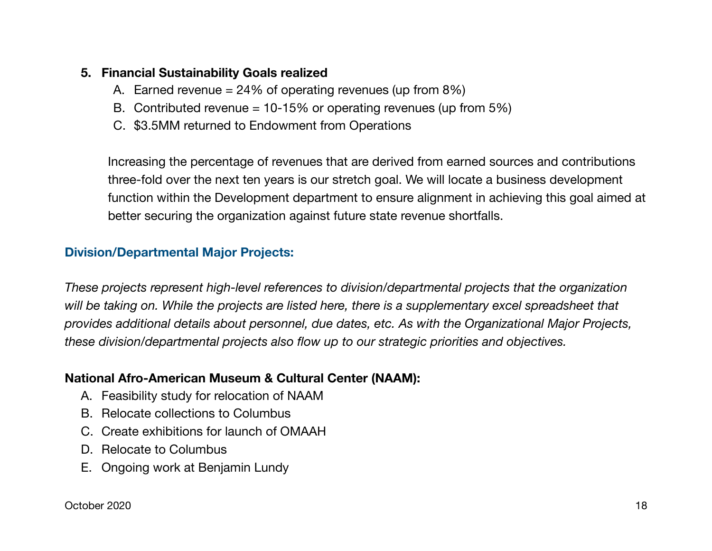## **5. Financial Sustainability Goals realized**

- A. Earned revenue = 24% of operating revenues (up from 8%)
- B. Contributed revenue =  $10-15%$  or operating revenues (up from  $5%$ )
- C. \$3.5MM returned to Endowment from Operations

Increasing the percentage of revenues that are derived from earned sources and contributions three-fold over the next ten years is our stretch goal. We will locate a business development function within the Development department to ensure alignment in achieving this goal aimed at better securing the organization against future state revenue shortfalls.

## **Division/Departmental Major Projects:**

*These projects represent high-level references to division/departmental projects that the organization will be taking on. While the projects are listed here, there is a supplementary excel spreadsheet that provides additional details about personnel, due dates, etc. As with the Organizational Major Projects, these division/departmental projects also flow up to our strategic priorities and objectives.* 

## **National Afro-American Museum & Cultural Center (NAAM):**

- A. Feasibility study for relocation of NAAM
- B. Relocate collections to Columbus
- C. Create exhibitions for launch of OMAAH
- D. Relocate to Columbus
- E. Ongoing work at Benjamin Lundy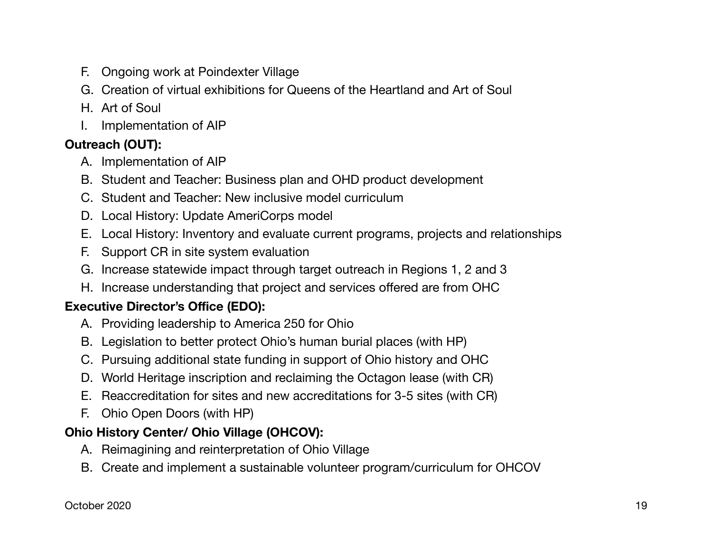- F. Ongoing work at Poindexter Village
- G. Creation of virtual exhibitions for Queens of the Heartland and Art of Soul
- H. Art of Soul
- I. Implementation of AIP

## **Outreach (OUT):**

- A. Implementation of AIP
- B. Student and Teacher: Business plan and OHD product development
- C. Student and Teacher: New inclusive model curriculum
- D. Local History: Update AmeriCorps model
- E. Local History: Inventory and evaluate current programs, projects and relationships
- F. Support CR in site system evaluation
- G. Increase statewide impact through target outreach in Regions 1, 2 and 3
- H. Increase understanding that project and services offered are from OHC

## **Executive Director's Office (EDO):**

- A. Providing leadership to America 250 for Ohio
- B. Legislation to better protect Ohio's human burial places (with HP)
- C. Pursuing additional state funding in support of Ohio history and OHC
- D. World Heritage inscription and reclaiming the Octagon lease (with CR)
- E. Reaccreditation for sites and new accreditations for 3-5 sites (with CR)
- F. Ohio Open Doors (with HP)

## **Ohio History Center/ Ohio Village (OHCOV):**

- A. Reimagining and reinterpretation of Ohio Village
- B. Create and implement a sustainable volunteer program/curriculum for OHCOV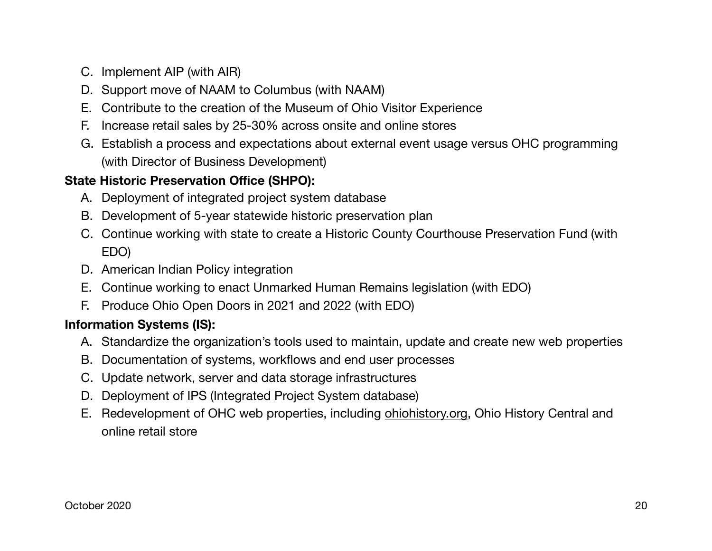- C. Implement AIP (with AIR)
- D. Support move of NAAM to Columbus (with NAAM)
- E. Contribute to the creation of the Museum of Ohio Visitor Experience
- F. Increase retail sales by 25-30% across onsite and online stores
- G. Establish a process and expectations about external event usage versus OHC programming (with Director of Business Development)

## **State Historic Preservation Office (SHPO):**

- A. Deployment of integrated project system database
- B. Development of 5-year statewide historic preservation plan
- C. Continue working with state to create a Historic County Courthouse Preservation Fund (with EDO)
- D. American Indian Policy integration
- E. Continue working to enact Unmarked Human Remains legislation (with EDO)
- F. Produce Ohio Open Doors in 2021 and 2022 (with EDO)

## **Information Systems (IS):**

- A. Standardize the organization's tools used to maintain, update and create new web properties
- B. Documentation of systems, workflows and end user processes
- C. Update network, server and data storage infrastructures
- D. Deployment of IPS (Integrated Project System database)
- E. Redevelopment of OHC web properties, including [ohiohistory.org](http://ohiohistory.org), Ohio History Central and online retail store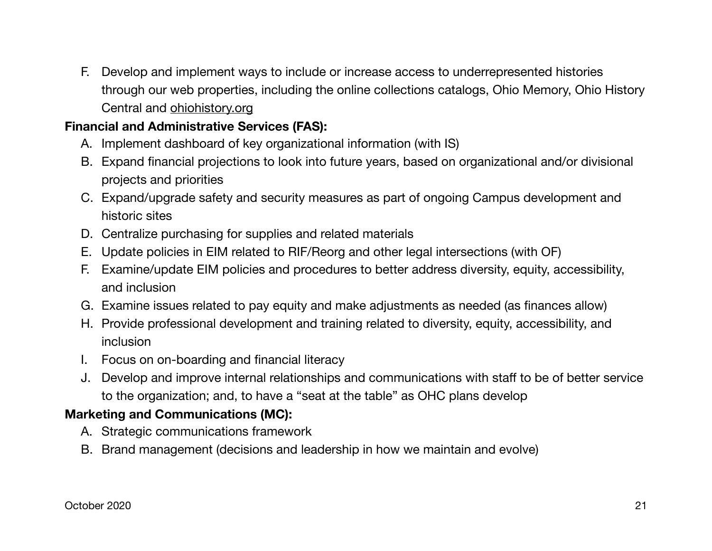F. Develop and implement ways to include or increase access to underrepresented histories through our web properties, including the online collections catalogs, Ohio Memory, Ohio History Central and [ohiohistory.org](http://ohiohistory.org)

## **Financial and Administrative Services (FAS):**

- A. Implement dashboard of key organizational information (with IS)
- B. Expand financial projections to look into future years, based on organizational and/or divisional projects and priorities
- C. Expand/upgrade safety and security measures as part of ongoing Campus development and historic sites
- D. Centralize purchasing for supplies and related materials
- E. Update policies in EIM related to RIF/Reorg and other legal intersections (with OF)
- F. Examine/update EIM policies and procedures to better address diversity, equity, accessibility, and inclusion
- G. Examine issues related to pay equity and make adjustments as needed (as finances allow)
- H. Provide professional development and training related to diversity, equity, accessibility, and inclusion
- I. Focus on on-boarding and financial literacy
- J. Develop and improve internal relationships and communications with staff to be of better service to the organization; and, to have a "seat at the table" as OHC plans develop

## **Marketing and Communications (MC):**

- A. Strategic communications framework
- B. Brand management (decisions and leadership in how we maintain and evolve)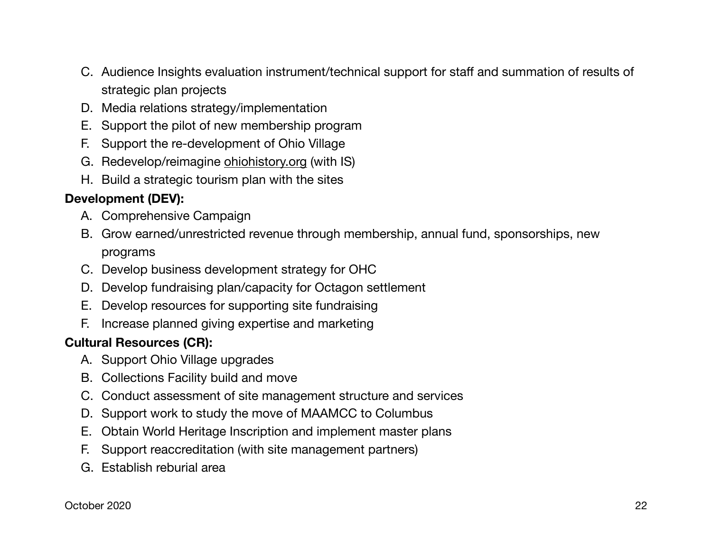- C. Audience Insights evaluation instrument/technical support for staff and summation of results of strategic plan projects
- D. Media relations strategy/implementation
- E. Support the pilot of new membership program
- F. Support the re-development of Ohio Village
- G. Redevelop/reimagine [ohiohistory.org](http://ohiohistory.org) (with IS)
- H. Build a strategic tourism plan with the sites

## **Development (DEV):**

- A. Comprehensive Campaign
- B. Grow earned/unrestricted revenue through membership, annual fund, sponsorships, new programs
- C. Develop business development strategy for OHC
- D. Develop fundraising plan/capacity for Octagon settlement
- E. Develop resources for supporting site fundraising
- F. Increase planned giving expertise and marketing

## **Cultural Resources (CR):**

- A. Support Ohio Village upgrades
- B. Collections Facility build and move
- C. Conduct assessment of site management structure and services
- D. Support work to study the move of MAAMCC to Columbus
- E. Obtain World Heritage Inscription and implement master plans
- F. Support reaccreditation (with site management partners)
- G. Establish reburial area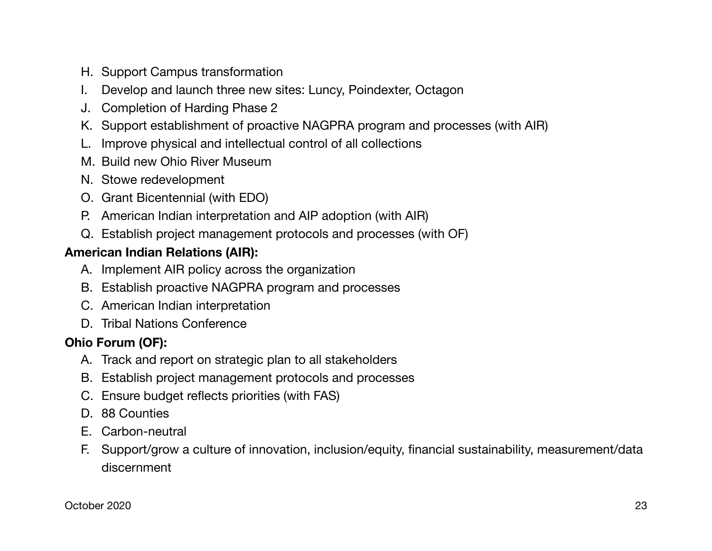- H. Support Campus transformation
- I. Develop and launch three new sites: Luncy, Poindexter, Octagon
- J. Completion of Harding Phase 2
- K. Support establishment of proactive NAGPRA program and processes (with AIR)
- L. Improve physical and intellectual control of all collections
- M. Build new Ohio River Museum
- N. Stowe redevelopment
- O. Grant Bicentennial (with EDO)
- P. American Indian interpretation and AIP adoption (with AIR)
- Q. Establish project management protocols and processes (with OF)

## **American Indian Relations (AIR):**

- A. Implement AIR policy across the organization
- B. Establish proactive NAGPRA program and processes
- C. American Indian interpretation
- D. Tribal Nations Conference

## **Ohio Forum (OF):**

- A. Track and report on strategic plan to all stakeholders
- B. Establish project management protocols and processes
- C. Ensure budget reflects priorities (with FAS)
- D. 88 Counties
- E. Carbon-neutral
- F. Support/grow a culture of innovation, inclusion/equity, financial sustainability, measurement/data discernment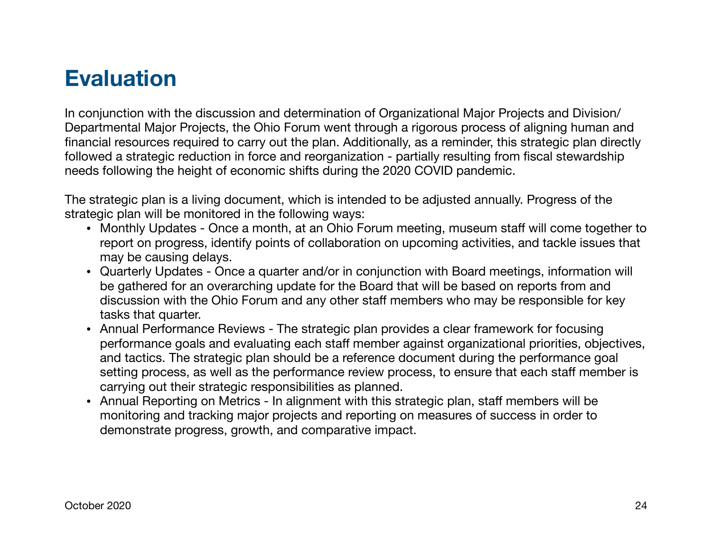# **Evaluation**

In conjunction with the discussion and determination of Organizational Major Projects and Division/ Departmental Major Projects, the Ohio Forum went through a rigorous process of aligning human and financial resources required to carry out the plan. Additionally, as a reminder, this strategic plan directly followed a strategic reduction in force and reorganization - partially resulting from fiscal stewardship needs following the height of economic shifts during the 2020 COVID pandemic.

The strategic plan is a living document, which is intended to be adjusted annually. Progress of the strategic plan will be monitored in the following ways:

- Monthly Updates Once a month, at an Ohio Forum meeting, museum staff will come together to report on progress, identify points of collaboration on upcoming activities, and tackle issues that may be causing delays.
- Quarterly Updates Once a quarter and/or in conjunction with Board meetings, information will be gathered for an overarching update for the Board that will be based on reports from and discussion with the Ohio Forum and any other staff members who may be responsible for key tasks that quarter.
- Annual Performance Reviews The strategic plan provides a clear framework for focusing performance goals and evaluating each staff member against organizational priorities, objectives, and tactics. The strategic plan should be a reference document during the performance goal setting process, as well as the performance review process, to ensure that each staff member is carrying out their strategic responsibilities as planned.
- Annual Reporting on Metrics In alignment with this strategic plan, staff members will be monitoring and tracking major projects and reporting on measures of success in order to demonstrate progress, growth, and comparative impact.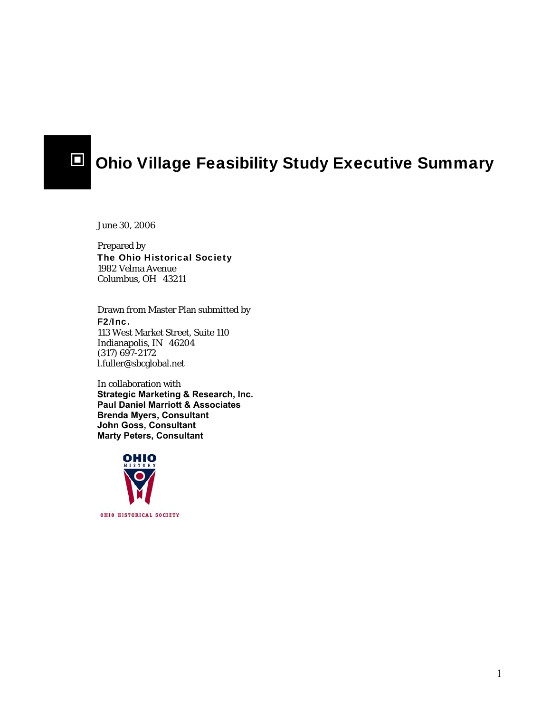

## $\Box$  Ohio Village Feasibility Study Executive Summary

June 30, 2006

Prepared by The Ohio Historical Society 1982 Velma Avenue Columbus, OH 43211

Drawn from Master Plan submitted by F2/Inc. 113 West Market Street, Suite 110 Indianapolis, IN 46204 (317) 697-2172 l.fuller@sbcglobal.net

In collaboration with **Strategic Marketing & Research, Inc. Paul Daniel Marriott & Associates Brenda Myers, Consultant John Goss, Consultant Marty Peters, Consultant** 

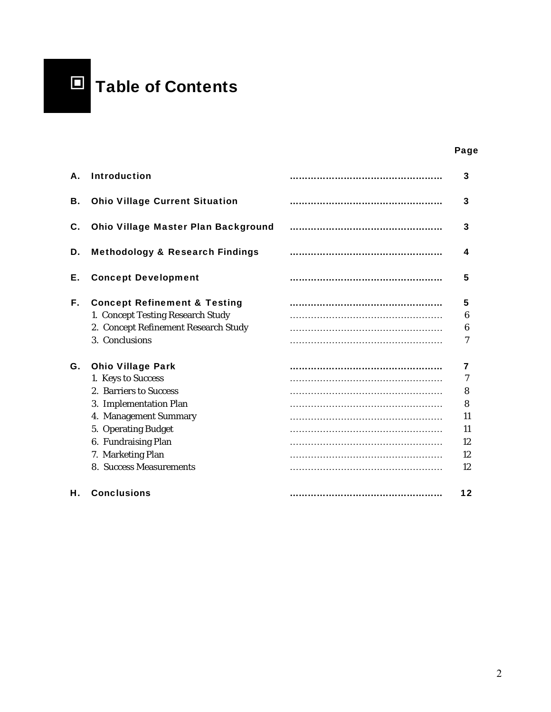

#### and the contract of the contract of the contract of the contract of the contract of the contract of the contract of the contract of the contract of the contract of the contract of the contract of the contract of the contra

| А. | <b>Introduction</b>                                                                                                                                                                                                       | 3                                         |
|----|---------------------------------------------------------------------------------------------------------------------------------------------------------------------------------------------------------------------------|-------------------------------------------|
| В. | <b>Ohio Village Current Situation</b>                                                                                                                                                                                     | 3                                         |
| C. | <b>Ohio Village Master Plan Background</b>                                                                                                                                                                                | 3                                         |
| D. | <b>Methodology &amp; Research Findings</b>                                                                                                                                                                                | 4                                         |
| Е. | <b>Concept Development</b>                                                                                                                                                                                                | 5                                         |
| F. | <b>Concept Refinement &amp; Testing</b><br>1. Concept Testing Research Study<br>2. Concept Refinement Research Study<br>3. Conclusions                                                                                    | 5<br>6<br>6<br>7                          |
| G. | <b>Ohio Village Park</b><br>1. Keys to Success<br>2. Barriers to Success<br>3. Implementation Plan<br>4. Management Summary<br>5. Operating Budget<br>6. Fundraising Plan<br>7. Marketing Plan<br>8. Success Measurements | 7<br>8<br>8<br>11<br>11<br>12<br>12<br>12 |
| Н. | <b>Conclusions</b>                                                                                                                                                                                                        | 12                                        |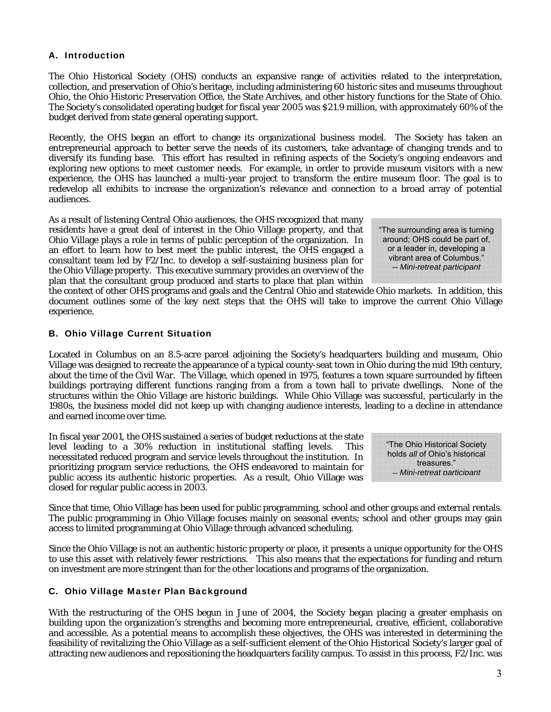#### A. Introduction

The Ohio Historical Society (OHS) conducts an expansive range of activities related to the interpretation, collection, and preservation of Ohio's heritage, including administering 60 historic sites and museums throughout Ohio, the Ohio Historic Preservation Office, the State Archives, and other history functions for the State of Ohio. The Society's consolidated operating budget for fiscal year 2005 was \$21.9 million, with approximately 60% of the budget derived from state general operating support.

Recently, the OHS began an effort to change its organizational business model. The Society has taken an entrepreneurial approach to better serve the needs of its customers, take advantage of changing trends and to diversify its funding base. This effort has resulted in refining aspects of the Society's ongoing endeavors and exploring new options to meet customer needs. For example, in order to provide museum visitors with a new experience, the OHS has launched a multi-year project to transform the entire museum floor. The goal is to redevelop all exhibits to increase the organization's relevance and connection to a broad array of potential audiences.

As a result of listening Central Ohio audiences, the OHS recognized that many residents have a great deal of interest in the Ohio Village property, and that Ohio Village plays a role in terms of public perception of the organization. In an effort to learn how to best meet the public interest, the OHS engaged a consultant team led by F2/Inc. to develop a self-sustaining business plan for the Ohio Village property. This executive summary provides an overview of the plan that the consultant group produced and starts to place that plan within

"The surrounding area is turning around; OHS could be part of, or a leader in, developing a vibrant area of Columbus." -- *Mini-retreat participant*

the context of other OHS programs and goals and the Central Ohio and statewide Ohio markets. In addition, this document outlines some of the key next steps that the OHS will take to improve the current Ohio Village experience.

#### B. Ohio Village Current Situation

Located in Columbus on an 8.5-acre parcel adjoining the Society's headquarters building and museum, Ohio Village was designed to recreate the appearance of a typical county-seat town in Ohio during the mid 19th century, about the time of the Civil War. The Village, which opened in 1975, features a town square surrounded by fifteen buildings portraying different functions ranging from a from a town hall to private dwellings. None of the structures within the Ohio Village are historic buildings. While Ohio Village was successful, particularly in the 1980s, the business model did not keep up with changing audience interests, leading to a decline in attendance and earned income over time.

In fiscal year 2001, the OHS sustained a series of budget reductions at the state level leading to a 30% reduction in institutional staffing levels. This necessitated reduced program and service levels throughout the institution. In prioritizing program service reductions, the OHS endeavored to maintain for public access its authentic historic properties. As a result, Ohio Village was closed for regular public access in 2003.

"The Ohio Historical Society holds *all* of Ohio's historical treasures." -- *Mini-retreat participant*

Since that time, Ohio Village has been used for public programming, school and other groups and external rentals. The public programming in Ohio Village focuses mainly on seasonal events; school and other groups may gain access to limited programming at Ohio Village through advanced scheduling.

Since the Ohio Village is not an authentic historic property or place, it presents a unique opportunity for the OHS to use this asset with relatively fewer restrictions. This also means that the expectations for funding and return on investment are more stringent than for the other locations and programs of the organization.

#### C. Ohio Village Master Plan Background

With the restructuring of the OHS begun in June of 2004, the Society began placing a greater emphasis on building upon the organization's strengths and becoming more entrepreneurial, creative, efficient, collaborative and accessible. As a potential means to accomplish these objectives, the OHS was interested in determining the feasibility of revitalizing the Ohio Village as a self-sufficient element of the Ohio Historical Society's larger goal of attracting new audiences and repositioning the headquarters facility campus. To assist in this process, F2/Inc. was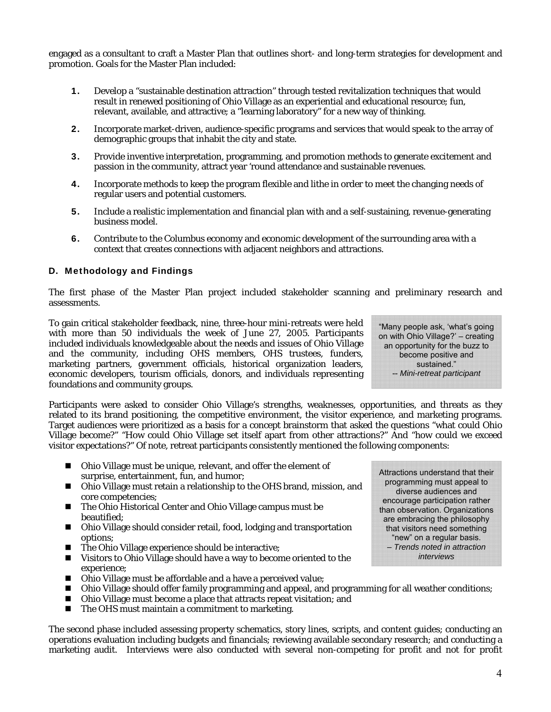engaged as a consultant to craft a Master Plan that outlines short- and long-term strategies for development and promotion. Goals for the Master Plan included:

- 1. Develop a "sustainable destination attraction" through tested revitalization techniques that would result in renewed positioning of Ohio Village as an experiential and educational resource; fun, relevant, available, and attractive; a "learning laboratory" for a new way of thinking.
- 2. Incorporate market-driven, audience-specific programs and services that would speak to the array of demographic groups that inhabit the city and state.
- 3. Provide inventive interpretation, programming, and promotion methods to generate excitement and passion in the community, attract year 'round attendance and sustainable revenues.
- 4. Incorporate methods to keep the program flexible and lithe in order to meet the changing needs of regular users and potential customers.
- 5. Include a realistic implementation and financial plan with and a self-sustaining, revenue-generating business model.
- 6. Contribute to the Columbus economy and economic development of the surrounding area with a context that creates connections with adjacent neighbors and attractions.

#### D. Methodology and Findings

The first phase of the Master Plan project included stakeholder scanning and preliminary research and assessments.

To gain critical stakeholder feedback, nine, three-hour mini-retreats were held with more than 50 individuals the week of June 27, 2005. Participants included individuals knowledgeable about the needs and issues of Ohio Village and the community, including OHS members, OHS trustees, funders, marketing partners, government officials, historical organization leaders, economic developers, tourism officials, donors, and individuals representing foundations and community groups.

Participants were asked to consider Ohio Village's strengths, weaknesses, opportunities, and threats as they related to its brand positioning, the competitive environment, the visitor experience, and marketing programs. Target audiences were prioritized as a basis for a concept brainstorm that asked the questions "what could Ohio Village become?" "How could Ohio Village set itself apart from other attractions?" And "how could we exceed visitor expectations?" Of note, retreat participants consistently mentioned the following components:

- Ohio Village must be unique, relevant, and offer the element of surprise, entertainment, fun, and humor;
- Ohio Village must retain a relationship to the OHS brand, mission, and core competencies;
- The Ohio Historical Center and Ohio Village campus must be beautified;
- Ohio Village should consider retail, food, lodging and transportation options;
- The Ohio Village experience should be interactive;
- Visitors to Ohio Village should have a way to become oriented to the experience;
- Ohio Village must be affordable and a have a perceived value;
- Ohio Village should offer family programming and appeal, and programming for all weather conditions;
- Ohio Village must become a place that attracts repeat visitation; and
- The OHS must maintain a commitment to marketing.

The second phase included assessing property schematics, story lines, scripts, and content guides; conducting an operations evaluation including budgets and financials; reviewing available secondary research; and conducting a marketing audit. Interviews were also conducted with several non-competing for profit and not for profit

Attractions understand that their programming must appeal to diverse audiences and encourage participation rather than observation. Organizations are embracing the philosophy that visitors need something "new" on a regular basis. – *Trends noted in attraction interviews*

4

"Many people ask, 'what's going on with Ohio Village?' – creating an opportunity for the buzz to become positive and sustained." -- *Mini-retreat participant*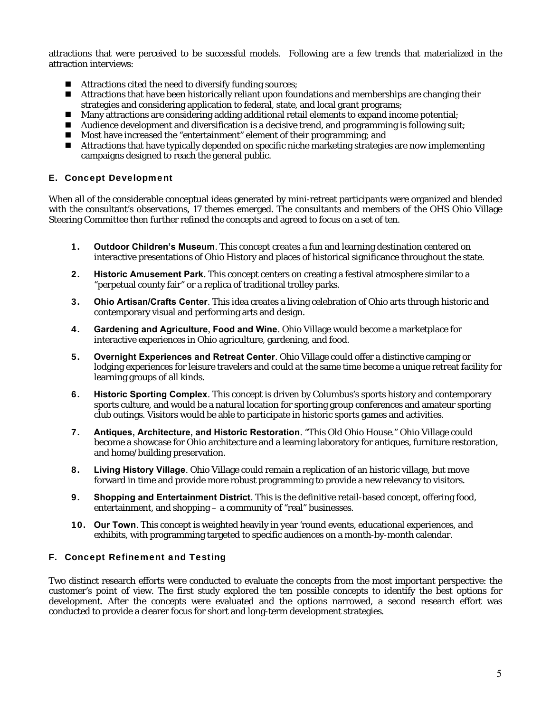attractions that were perceived to be successful models. Following are a few trends that materialized in the attraction interviews:

- Attractions cited the need to diversify funding sources;
- **Attractions that have been historically reliant upon foundations and memberships are changing their** strategies and considering application to federal, state, and local grant programs;
- Many attractions are considering adding additional retail elements to expand income potential;
- Audience development and diversification is a decisive trend, and programming is following suit;
- Most have increased the "entertainment" element of their programming; and
- Attractions that have typically depended on specific niche marketing strategies are now implementing campaigns designed to reach the general public.

#### E. Concept Development

When all of the considerable conceptual ideas generated by mini-retreat participants were organized and blended with the consultant's observations, 17 themes emerged. The consultants and members of the OHS Ohio Village Steering Committee then further refined the concepts and agreed to focus on a set of ten.

- 1. **Outdoor Children's Museum**. This concept creates a fun and learning destination centered on interactive presentations of Ohio History and places of historical significance throughout the state.
- 2. **Historic Amusement Park**. This concept centers on creating a festival atmosphere similar to a "perpetual county fair" or a replica of traditional trolley parks.
- 3. **Ohio Artisan/Crafts Center**. This idea creates a living celebration of Ohio arts through historic and contemporary visual and performing arts and design.
- 4. **Gardening and Agriculture, Food and Wine**. Ohio Village would become a marketplace for interactive experiences in Ohio agriculture, gardening, and food.
- 5. **Overnight Experiences and Retreat Center**. Ohio Village could offer a distinctive camping or lodging experiences for leisure travelers and could at the same time become a unique retreat facility for learning groups of all kinds.
- 6. **Historic Sporting Complex**. This concept is driven by Columbus's sports history and contemporary sports culture, and would be a natural location for sporting group conferences and amateur sporting club outings. Visitors would be able to participate in historic sports games and activities.
- 7. **Antiques, Architecture, and Historic Restoration**. "This Old Ohio House." Ohio Village could become a showcase for Ohio architecture and a learning laboratory for antiques, furniture restoration, and home/building preservation.
- 8. **Living History Village**. Ohio Village could remain a replication of an historic village, but move forward in time and provide more robust programming to provide a new relevancy to visitors.
- 9. **Shopping and Entertainment District**. This is the definitive retail-based concept, offering food, entertainment, and shopping – a community of "real" businesses.
- 10. **Our Town**. This concept is weighted heavily in year 'round events, educational experiences, and exhibits, with programming targeted to specific audiences on a month-by-month calendar.

#### F. Concept Refinement and Testing

Two distinct research efforts were conducted to evaluate the concepts from the most important perspective: the customer's point of view. The first study explored the ten possible concepts to identify the best options for development. After the concepts were evaluated and the options narrowed, a second research effort was conducted to provide a clearer focus for short and long-term development strategies.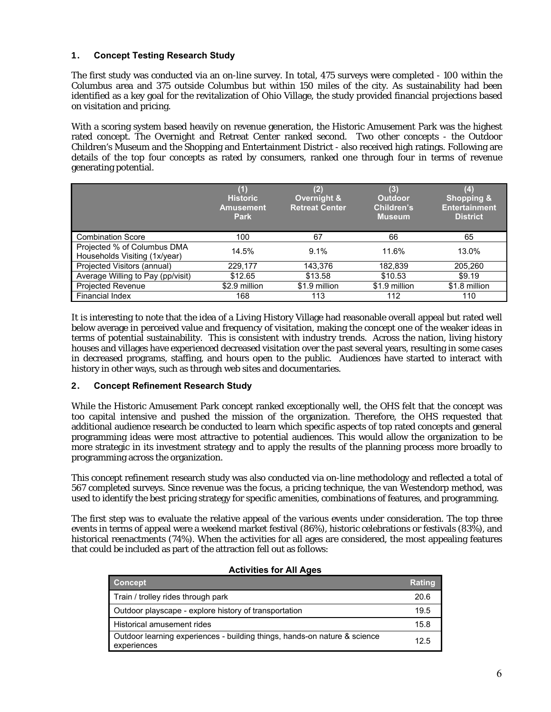#### 1. **Concept Testing Research Study**

The first study was conducted via an on-line survey. In total, 475 surveys were completed - 100 within the Columbus area and 375 outside Columbus but within 150 miles of the city. As sustainability had been identified as a key goal for the revitalization of Ohio Village, the study provided financial projections based on visitation and pricing.

With a scoring system based heavily on revenue generation, the Historic Amusement Park was the highest rated concept. The Overnight and Retreat Center ranked second. Two other concepts - the Outdoor Children's Museum and the Shopping and Entertainment District - also received high ratings. Following are details of the top four concepts as rated by consumers, ranked one through four in terms of revenue generating potential.

|                                                              | (1)<br><b>Historic</b><br><b>Amusement</b><br><b>Park</b> | (2)<br>Overnight &<br><b>Retreat Center</b> | $\bf (3)$<br><b>Outdoor</b><br>Children's<br><b>Museum</b> | $\boldsymbol{(4)}$<br><b>Shopping &amp;</b><br><b>Entertainment</b><br><b>District</b> |
|--------------------------------------------------------------|-----------------------------------------------------------|---------------------------------------------|------------------------------------------------------------|----------------------------------------------------------------------------------------|
| <b>Combination Score</b>                                     | 100                                                       | 67                                          | 66                                                         | 65                                                                                     |
| Projected % of Columbus DMA<br>Households Visiting (1x/year) | 14.5%                                                     | 9.1%                                        | 11.6%                                                      | 13.0%                                                                                  |
| Projected Visitors (annual)                                  | 229,177                                                   | 143,376                                     | 182,839                                                    | 205,260                                                                                |
| Average Willing to Pay (pp/visit)                            | \$12.65                                                   | \$13.58                                     | \$10.53                                                    | \$9.19                                                                                 |
| <b>Projected Revenue</b>                                     | \$2.9 million                                             | \$1.9 million                               | \$1.9 million                                              | \$1.8 million                                                                          |
| <b>Financial Index</b>                                       | 168                                                       | 113                                         | 112                                                        | 110                                                                                    |

It is interesting to note that the idea of a Living History Village had reasonable overall appeal but rated well below average in perceived value and frequency of visitation, making the concept one of the weaker ideas in terms of potential sustainability. This is consistent with industry trends. Across the nation, living history houses and villages have experienced decreased visitation over the past several years, resulting in some cases in decreased programs, staffing, and hours open to the public. Audiences have started to interact with history in other ways, such as through web sites and documentaries.

#### 2. **Concept Refinement Research Study**

While the Historic Amusement Park concept ranked exceptionally well, the OHS felt that the concept was too capital intensive and pushed the mission of the organization. Therefore, the OHS requested that additional audience research be conducted to learn which specific aspects of top rated concepts and general programming ideas were most attractive to potential audiences. This would allow the organization to be more strategic in its investment strategy and to apply the results of the planning process more broadly to programming across the organization.

This concept refinement research study was also conducted via on-line methodology and reflected a total of 567 completed surveys. Since revenue was the focus, a pricing technique, the van Westendorp method, was used to identify the best pricing strategy for specific amenities, combinations of features, and programming.

The first step was to evaluate the relative appeal of the various events under consideration. The top three events in terms of appeal were a weekend market festival (86%), historic celebrations or festivals (83%), and historical reenactments (74%). When the activities for all ages are considered, the most appealing features that could be included as part of the attraction fell out as follows:

| <b>Activities for All Ages</b> |  |
|--------------------------------|--|
|                                |  |

| <b>Concept</b>                                                                           | <b>Rating</b> |
|------------------------------------------------------------------------------------------|---------------|
| Train / trolley rides through park                                                       | 20.6          |
| Outdoor playscape - explore history of transportation                                    | 19.5          |
| Historical amusement rides                                                               | 15.8          |
| Outdoor learning experiences - building things, hands-on nature & science<br>experiences | 12.5          |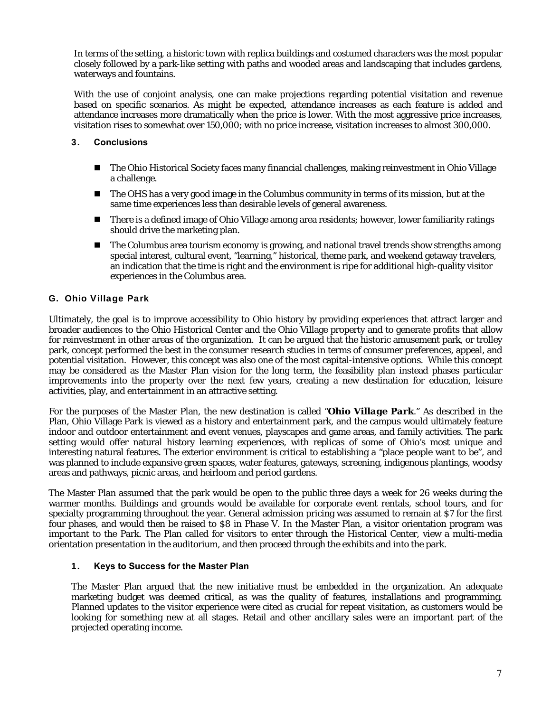In terms of the setting, a historic town with replica buildings and costumed characters was the most popular closely followed by a park-like setting with paths and wooded areas and landscaping that includes gardens, waterways and fountains.

With the use of conjoint analysis, one can make projections regarding potential visitation and revenue based on specific scenarios. As might be expected, attendance increases as each feature is added and attendance increases more dramatically when the price is lower. With the most aggressive price increases, visitation rises to somewhat over 150,000; with no price increase, visitation increases to almost 300,000.

#### 3. **Conclusions**

- The Ohio Historical Society faces many financial challenges, making reinvestment in Ohio Village a challenge.
- The OHS has a very good image in the Columbus community in terms of its mission, but at the same time experiences less than desirable levels of general awareness.
- There is a defined image of Ohio Village among area residents; however, lower familiarity ratings should drive the marketing plan.
- The Columbus area tourism economy is growing, and national travel trends show strengths among special interest, cultural event, "learning," historical, theme park, and weekend getaway travelers, an indication that the time is right and the environment is ripe for additional high-quality visitor experiences in the Columbus area.

#### G. Ohio Village Park

Ultimately, the goal is to improve accessibility to Ohio history by providing experiences that attract larger and broader audiences to the Ohio Historical Center and the Ohio Village property and to generate profits that allow for reinvestment in other areas of the organization. It can be argued that the historic amusement park, or trolley park, concept performed the best in the consumer research studies in terms of consumer preferences, appeal, and potential visitation. However, this concept was also one of the most capital-intensive options. While this concept may be considered as the Master Plan vision for the long term, the feasibility plan instead phases particular improvements into the property over the next few years, creating a new destination for education, leisure activities, play, and entertainment in an attractive setting.

For the purposes of the Master Plan, the new destination is called "*Ohio Village Park*." As described in the Plan, Ohio Village Park is viewed as a history and entertainment park, and the campus would ultimately feature indoor and outdoor entertainment and event venues, playscapes and game areas, and family activities. The park setting would offer natural history learning experiences, with replicas of some of Ohio's most unique and interesting natural features. The exterior environment is critical to establishing a "place people want to be", and was planned to include expansive green spaces, water features, gateways, screening, indigenous plantings, woodsy areas and pathways, picnic areas, and heirloom and period gardens.

The Master Plan assumed that the park would be open to the public three days a week for 26 weeks during the warmer months. Buildings and grounds would be available for corporate event rentals, school tours, and for specialty programming throughout the year. General admission pricing was assumed to remain at \$7 for the first four phases, and would then be raised to \$8 in Phase V. In the Master Plan, a visitor orientation program was important to the Park. The Plan called for visitors to enter through the Historical Center, view a multi-media orientation presentation in the auditorium, and then proceed through the exhibits and into the park.

#### 1. **Keys to Success for the Master Plan**

The Master Plan argued that the new initiative must be embedded in the organization. An adequate marketing budget was deemed critical, as was the quality of features, installations and programming. Planned updates to the visitor experience were cited as crucial for repeat visitation, as customers would be looking for something new at all stages. Retail and other ancillary sales were an important part of the projected operating income.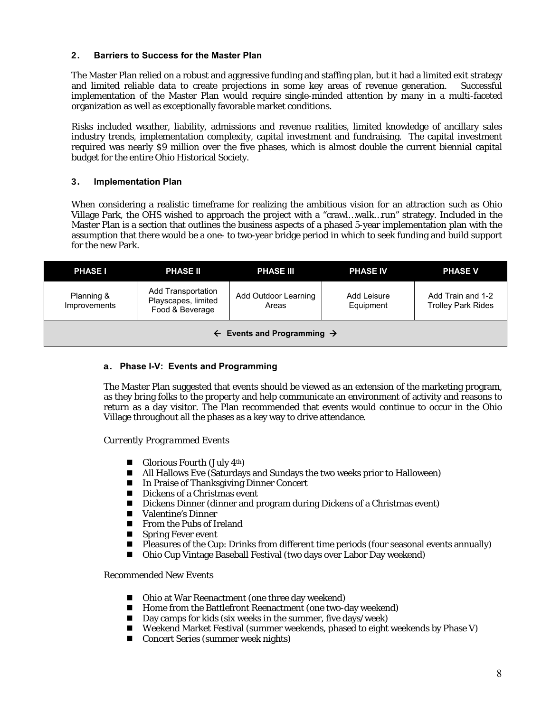#### 2. **Barriers to Success for the Master Plan**

The Master Plan relied on a robust and aggressive funding and staffing plan, but it had a limited exit strategy and limited reliable data to create projections in some key areas of revenue generation. Successful implementation of the Master Plan would require single-minded attention by many in a multi-faceted organization as well as exceptionally favorable market conditions.

Risks included weather, liability, admissions and revenue realities, limited knowledge of ancillary sales industry trends, implementation complexity, capital investment and fundraising. The capital investment required was nearly \$9 million over the five phases, which is almost double the current biennial capital budget for the entire Ohio Historical Society.

#### 3. **Implementation Plan**

When considering a realistic timeframe for realizing the ambitious vision for an attraction such as Ohio Village Park, the OHS wished to approach the project with a "crawl…walk…run" strategy. Included in the Master Plan is a section that outlines the business aspects of a phased 5-year implementation plan with the assumption that there would be a one- to two-year bridge period in which to seek funding and build support for the new Park.

| <b>PHASE I</b>                                    | <b>PHASE II</b>                                              | <b>PHASE III</b>              | <b>PHASE IV</b>          | <b>PHASE V</b>                                 |  |
|---------------------------------------------------|--------------------------------------------------------------|-------------------------------|--------------------------|------------------------------------------------|--|
| Planning &<br>Improvements                        | Add Transportation<br>Playscapes, limited<br>Food & Beverage | Add Outdoor Learning<br>Areas | Add Leisure<br>Equipment | Add Train and 1-2<br><b>Trolley Park Rides</b> |  |
| $\leftarrow$ Events and Programming $\rightarrow$ |                                                              |                               |                          |                                                |  |

#### a. **Phase I-V: Events and Programming**

The Master Plan suggested that events should be viewed as an extension of the marketing program, as they bring folks to the property and help communicate an environment of activity and reasons to return as a day visitor. The Plan recommended that events would continue to occur in the Ohio Village throughout all the phases as a key way to drive attendance.

#### *Currently Programmed Events*

- Glorious Fourth (July  $4<sup>th</sup>$ )
- All Hallows Eve (Saturdays and Sundays the two weeks prior to Halloween)
- In Praise of Thanksgiving Dinner Concert
- Dickens of a Christmas event
- Dickens Dinner (dinner and program during Dickens of a Christmas event)
- Valentine's Dinner
- **From the Pubs of Ireland**
- **Spring Fever event**
- **Pleasures of the Cup: Drinks from different time periods (four seasonal events annually)**
- Ohio Cup Vintage Baseball Festival (two days over Labor Day weekend)

#### *Recommended New Events*

- Ohio at War Reenactment (one three day weekend)
- **Home from the Battlefront Reenactment (one two-day weekend)**
- Day camps for kids (six weeks in the summer, five days/week)
- Weekend Market Festival (summer weekends, phased to eight weekends by Phase V)
- Concert Series (summer week nights)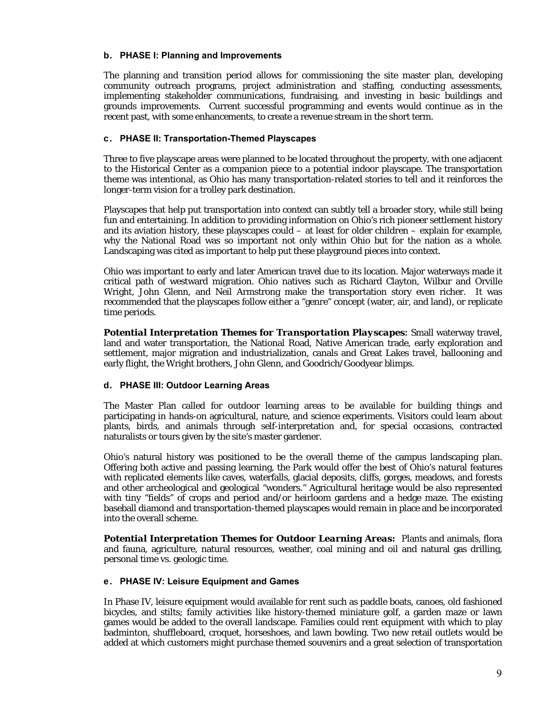#### b. **PHASE I: Planning and Improvements**

The planning and transition period allows for commissioning the site master plan, developing community outreach programs, project administration and staffing, conducting assessments, implementing stakeholder communications, fundraising, and investing in basic buildings and grounds improvements. Current successful programming and events would continue as in the recent past, with some enhancements, to create a revenue stream in the short term.

#### c. **PHASE II: Transportation-Themed Playscapes**

Three to five playscape areas were planned to be located throughout the property, with one adjacent to the Historical Center as a companion piece to a potential indoor playscape. The transportation theme was intentional, as Ohio has many transportation-related stories to tell and it reinforces the longer-term vision for a trolley park destination.

Playscapes that help put transportation into context can subtly tell a broader story, while still being fun and entertaining. In addition to providing information on Ohio's rich pioneer settlement history and its aviation history, these playscapes could – at least for older children – explain for example, why the National Road was so important not only within Ohio but for the nation as a whole. Landscaping was cited as important to help put these playground pieces into context.

Ohio was important to early and later American travel due to its location. Major waterways made it critical path of westward migration. Ohio natives such as Richard Clayton, Wilbur and Orville Wright, John Glenn, and Neil Armstrong make the transportation story even richer. It was recommended that the playscapes follow either a "genre" concept (water, air, and land), or replicate time periods.

**Potential Interpretation Themes for Transportation Playscapes:** Small waterway travel, land and water transportation, the National Road, Native American trade, early exploration and settlement, major migration and industrialization, canals and Great Lakes travel, ballooning and early flight, the Wright brothers, John Glenn, and Goodrich/Goodyear blimps.

#### d. **PHASE III: Outdoor Learning Areas**

The Master Plan called for outdoor learning areas to be available for building things and participating in hands-on agricultural, nature, and science experiments. Visitors could learn about plants, birds, and animals through self-interpretation and, for special occasions, contracted naturalists or tours given by the site's master gardener.

Ohio's natural history was positioned to be the overall theme of the campus landscaping plan. Offering both active and passing learning, the Park would offer the best of Ohio's natural features with replicated elements like caves, waterfalls, glacial deposits, cliffs, gorges, meadows, and forests and other archeological and geological "wonders." Agricultural heritage would be also represented with tiny "fields" of crops and period and/or heirloom gardens and a hedge maze. The existing baseball diamond and transportation-themed playscapes would remain in place and be incorporated into the overall scheme.

**Potential Interpretation Themes for Outdoor Learning Areas:** Plants and animals, flora and fauna, agriculture, natural resources, weather, coal mining and oil and natural gas drilling, personal time vs. geologic time.

#### e. **PHASE IV: Leisure Equipment and Games**

In Phase IV, leisure equipment would available for rent such as paddle boats, canoes, old fashioned bicycles, and stilts; family activities like history-themed miniature golf, a garden maze or lawn games would be added to the overall landscape. Families could rent equipment with which to play badminton, shuffleboard, croquet, horseshoes, and lawn bowling. Two new retail outlets would be added at which customers might purchase themed souvenirs and a great selection of transportation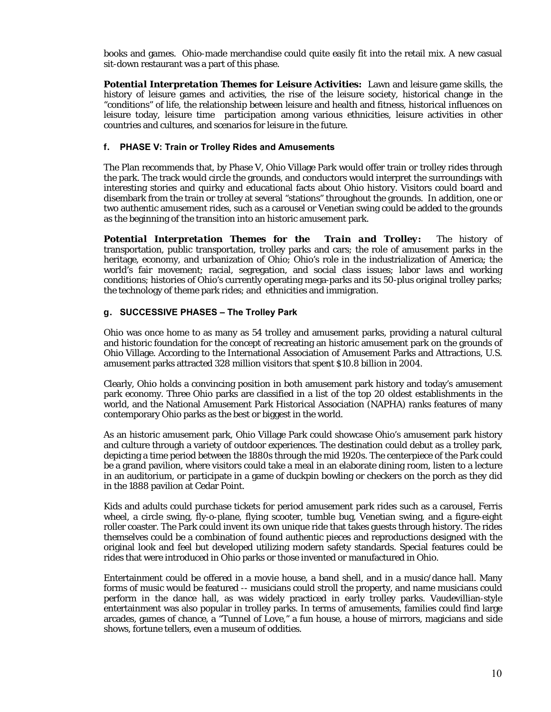books and games. Ohio-made merchandise could quite easily fit into the retail mix. A new casual sit-down restaurant was a part of this phase.

*Potential Interpretation Themes for Leisure Activities:*Lawn and leisure game skills, the history of leisure games and activities, the rise of the leisure society, historical change in the "conditions" of life, the relationship between leisure and health and fitness, historical influences on leisure today, leisure time participation among various ethnicities, leisure activities in other countries and cultures, and scenarios for leisure in the future.

#### f. **PHASE V: Train or Trolley Rides and Amusements**

The Plan recommends that, by Phase V, Ohio Village Park would offer train or trolley rides through the park. The track would circle the grounds, and conductors would interpret the surroundings with interesting stories and quirky and educational facts about Ohio history. Visitors could board and disembark from the train or trolley at several "stations" throughout the grounds. In addition, one or two authentic amusement rides, such as a carousel or Venetian swing could be added to the grounds as the beginning of the transition into an historic amusement park.

*Potential Interpretation Themes for the Train and Trolley:* The history of transportation, public transportation, trolley parks and cars; the role of amusement parks in the heritage, economy, and urbanization of Ohio; Ohio's role in the industrialization of America; the world's fair movement; racial, segregation, and social class issues; labor laws and working conditions; histories of Ohio's currently operating mega-parks and its 50-plus original trolley parks; the technology of theme park rides; and ethnicities and immigration.

#### g. **SUCCESSIVE PHASES – The Trolley Park**

Ohio was once home to as many as 54 trolley and amusement parks, providing a natural cultural and historic foundation for the concept of recreating an historic amusement park on the grounds of Ohio Village. According to the International Association of Amusement Parks and Attractions, U.S. amusement parks attracted 328 million visitors that spent \$10.8 billion in 2004.

Clearly, Ohio holds a convincing position in both amusement park history and today's amusement park economy. Three Ohio parks are classified in a list of the top 20 oldest establishments in the world, and the National Amusement Park Historical Association (NAPHA) ranks features of many contemporary Ohio parks as the best or biggest in the world.

As an historic amusement park, Ohio Village Park could showcase Ohio's amusement park history and culture through a variety of outdoor experiences. The destination could debut as a trolley park, depicting a time period between the 1880s through the mid 1920s. The centerpiece of the Park could be a grand pavilion, where visitors could take a meal in an elaborate dining room, listen to a lecture in an auditorium, or participate in a game of duckpin bowling or checkers on the porch as they did in the 1888 pavilion at Cedar Point.

Kids and adults could purchase tickets for period amusement park rides such as a carousel, Ferris wheel, a circle swing, fly-o-plane, flying scooter, tumble bug, Venetian swing, and a figure-eight roller coaster. The Park could invent its own unique ride that takes guests through history. The rides themselves could be a combination of found authentic pieces and reproductions designed with the original look and feel but developed utilizing modern safety standards. Special features could be rides that were introduced in Ohio parks or those invented or manufactured in Ohio.

Entertainment could be offered in a movie house, a band shell, and in a music/dance hall. Many forms of music would be featured -- musicians could stroll the property, and name musicians could perform in the dance hall, as was widely practiced in early trolley parks. Vaudevillian-style entertainment was also popular in trolley parks. In terms of amusements, families could find large arcades, games of chance, a "Tunnel of Love," a fun house, a house of mirrors, magicians and side shows, fortune tellers, even a museum of oddities.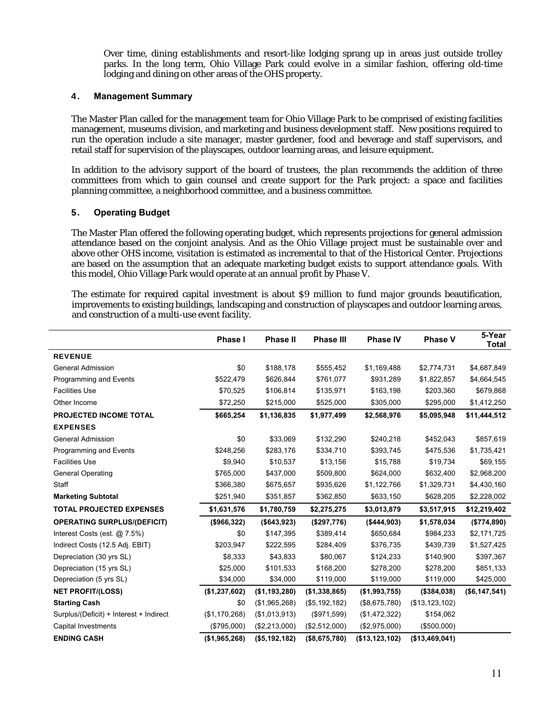Over time, dining establishments and resort-like lodging sprang up in areas just outside trolley parks. In the long term, Ohio Village Park could evolve in a similar fashion, offering old-time lodging and dining on other areas of the OHS property.

#### 4. **Management Summary**

The Master Plan called for the management team for Ohio Village Park to be comprised of existing facilities management, museums division, and marketing and business development staff. New positions required to run the operation include a site manager, master gardener, food and beverage and staff supervisors, and retail staff for supervision of the playscapes, outdoor learning areas, and leisure equipment.

In addition to the advisory support of the board of trustees, the plan recommends the addition of three committees from which to gain counsel and create support for the Park project: a space and facilities planning committee, a neighborhood committee, and a business committee.

#### 5. **Operating Budget**

The Master Plan offered the following operating budget, which represents projections for general admission attendance based on the conjoint analysis. And as the Ohio Village project must be sustainable over and above other OHS income, visitation is estimated as incremental to that of the Historical Center. Projections are based on the assumption that an adequate marketing budget exists to support attendance goals. With this model, Ohio Village Park would operate at an annual profit by Phase V.

The estimate for required capital investment is about \$9 million to fund major grounds beautification, improvements to existing buildings, landscaping and construction of playscapes and outdoor learning areas, and construction of a multi-use event facility.

|                                         | <b>Phase I</b> | <b>Phase II</b> | <b>Phase III</b> | <b>Phase IV</b> | <b>Phase V</b>   | 5-Year<br>Total |
|-----------------------------------------|----------------|-----------------|------------------|-----------------|------------------|-----------------|
| <b>REVENUE</b>                          |                |                 |                  |                 |                  |                 |
| <b>General Admission</b>                | \$0            | \$188,178       | \$555,452        | \$1,169,488     | \$2,774,731      | \$4,687,849     |
| Programming and Events                  | \$522,479      | \$626,844       | \$761,077        | \$931,289       | \$1,822,857      | \$4,664,545     |
| <b>Facilities Use</b>                   | \$70,525       | \$106,814       | \$135,971        | \$163,198       | \$203,360        | \$679,868       |
| Other Income                            | \$72,250       | \$215,000       | \$525,000        | \$305,000       | \$295,000        | \$1,412,250     |
| <b>PROJECTED INCOME TOTAL</b>           | \$665,254      | \$1,136,835     | \$1,977,499      | \$2,568,976     | \$5,095,948      | \$11,444,512    |
| <b>EXPENSES</b>                         |                |                 |                  |                 |                  |                 |
| <b>General Admission</b>                | \$0            | \$33,069        | \$132,290        | \$240,218       | \$452,043        | \$857,619       |
| Programming and Events                  | \$248,256      | \$283,176       | \$334,710        | \$393,745       | \$475,536        | \$1,735,421     |
| <b>Facilities Use</b>                   | \$9,940        | \$10,537        | \$13,156         | \$15,788        | \$19,734         | \$69,155        |
| <b>General Operating</b>                | \$765,000      | \$437,000       | \$509,800        | \$624,000       | \$632,400        | \$2,968,200     |
| Staff                                   | \$366,380      | \$675,657       | \$935,626        | \$1,122,766     | \$1,329,731      | \$4,430,160     |
| <b>Marketing Subtotal</b>               | \$251,940      | \$351,857       | \$362,850        | \$633,150       | \$628,205        | \$2,228,002     |
| <b>TOTAL PROJECTED EXPENSES</b>         | \$1,631,576    | \$1,780,759     | \$2,275,275      | \$3,013,879     | \$3,517,915      | \$12,219,402    |
| <b>OPERATING SURPLUS/(DEFICIT)</b>      | (\$966,322)    | (\$643,923)     | (\$297,776)      | (\$444,903)     | \$1,578,034      | (\$774,890)     |
| Interest Costs (est. @ 7.5%)            | \$0            | \$147,395       | \$389,414        | \$650,684       | \$984,233        | \$2,171,725     |
| Indirect Costs (12.5 Adj. EBIT)         | \$203,947      | \$222,595       | \$284,409        | \$376,735       | \$439,739        | \$1,527,425     |
| Depreciation (30 yrs SL)                | \$8,333        | \$43,833        | \$80,067         | \$124,233       | \$140,900        | \$397,367       |
| Depreciation (15 yrs SL)                | \$25,000       | \$101,533       | \$168,200        | \$278,200       | \$278,200        | \$851,133       |
| Depreciation (5 yrs SL)                 | \$34,000       | \$34,000        | \$119,000        | \$119,000       | \$119,000        | \$425,000       |
| <b>NET PROFIT/(LOSS)</b>                | (\$1,237,602)  | (\$1,193,280)   | (\$1,338,865)    | (\$1,993,755)   | (\$384,038)      | ( \$6,147,541)  |
| <b>Starting Cash</b>                    | \$0            | (\$1,965,268)   | (\$5,192,182)    | (\$8,675,780)   | (\$13, 123, 102) |                 |
| Surplus/(Deficit) + Interest + Indirect | (\$1,170,268)  | (\$1,013,913)   | (\$971,599)      | (\$1,472,322)   | \$154,062        |                 |
| Capital Investments                     | (\$795,000)    | (\$2,213,000)   | (\$2,512,000)    | (\$2,975,000)   | (\$500,000)      |                 |
| <b>ENDING CASH</b>                      | (\$1,965,268)  | (\$5,192,182)   | (\$8,675,780)    | (\$13,123,102)  | ( \$13,469,041)  |                 |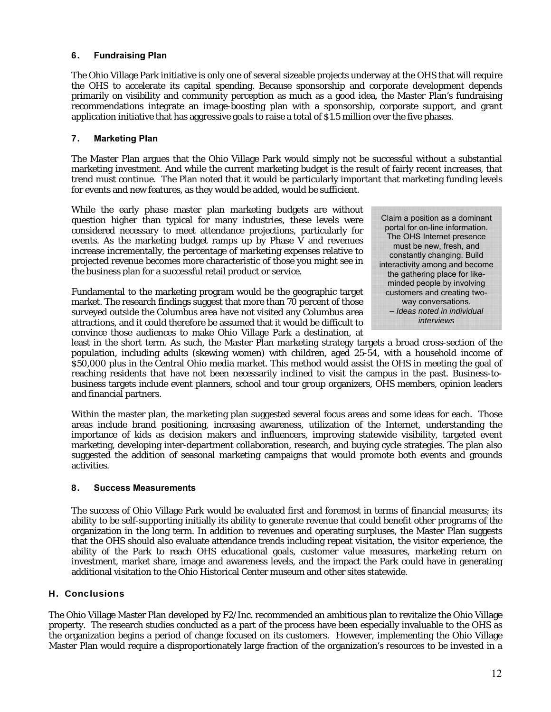#### 6. **Fundraising Plan**

The Ohio Village Park initiative is only one of several sizeable projects underway at the OHS that will require the OHS to accelerate its capital spending. Because sponsorship and corporate development depends primarily on visibility and community perception as much as a good idea, the Master Plan's fundraising recommendations integrate an image-boosting plan with a sponsorship, corporate support, and grant application initiative that has aggressive goals to raise a total of \$1.5 million over the five phases.

#### 7. **Marketing Plan**

The Master Plan argues that the Ohio Village Park would simply not be successful without a substantial marketing investment. And while the current marketing budget is the result of fairly recent increases, that trend must continue. The Plan noted that it would be particularly important that marketing funding levels for events and new features, as they would be added, would be sufficient.

While the early phase master plan marketing budgets are without question higher than typical for many industries, these levels were considered necessary to meet attendance projections, particularly for events. As the marketing budget ramps up by Phase  $\bar{V}$  and revenues increase incrementally, the percentage of marketing expenses relative to projected revenue becomes more characteristic of those you might see in the business plan for a successful retail product or service.

Fundamental to the marketing program would be the geographic target market. The research findings suggest that more than 70 percent of those surveyed outside the Columbus area have not visited any Columbus area attractions, and it could therefore be assumed that it would be difficult to convince those audiences to make Ohio Village Park a destination, at

Claim a position as a dominant portal for on-line information. The OHS Internet presence must be new, fresh, and constantly changing. Build interactivity among and become the gathering place for likeminded people by involving customers and creating twoway conversations. – *Ideas noted in individual interviews*

least in the short term. As such, the Master Plan marketing strategy targets a broad cross-section of the population, including adults (skewing women) with children, aged 25-54, with a household income of \$50,000 plus in the Central Ohio media market. This method would assist the OHS in meeting the goal of reaching residents that have not been necessarily inclined to visit the campus in the past. Business-tobusiness targets include event planners, school and tour group organizers, OHS members, opinion leaders and financial partners.

Within the master plan, the marketing plan suggested several focus areas and some ideas for each. Those areas include brand positioning, increasing awareness, utilization of the Internet, understanding the importance of kids as decision makers and influencers, improving statewide visibility, targeted event marketing, developing inter-department collaboration, research, and buying cycle strategies. The plan also suggested the addition of seasonal marketing campaigns that would promote both events and grounds activities.

#### 8. **Success Measurements**

The success of Ohio Village Park would be evaluated first and foremost in terms of financial measures; its ability to be self-supporting initially its ability to generate revenue that could benefit other programs of the organization in the long term. In addition to revenues and operating surpluses, the Master Plan suggests that the OHS should also evaluate attendance trends including repeat visitation, the visitor experience, the ability of the Park to reach OHS educational goals, customer value measures, marketing return on investment, market share, image and awareness levels, and the impact the Park could have in generating additional visitation to the Ohio Historical Center museum and other sites statewide.

#### H. Conclusions

The Ohio Village Master Plan developed by F2/Inc. recommended an ambitious plan to revitalize the Ohio Village property. The research studies conducted as a part of the process have been especially invaluable to the OHS as the organization begins a period of change focused on its customers. However, implementing the Ohio Village Master Plan would require a disproportionately large fraction of the organization's resources to be invested in a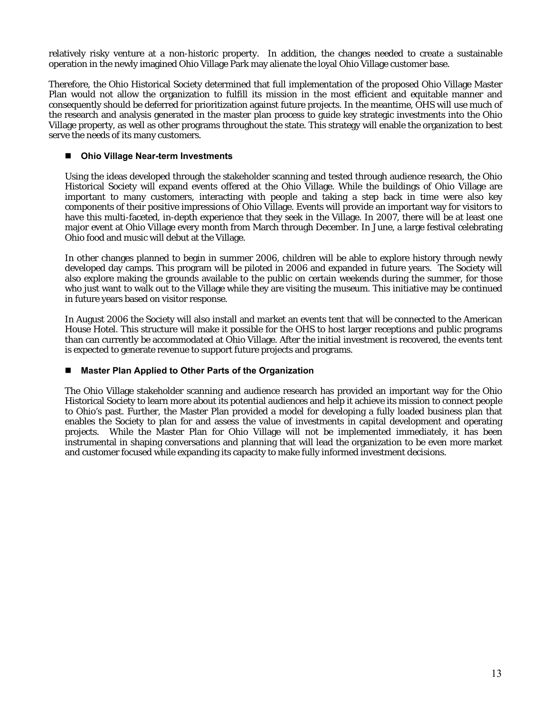relatively risky venture at a non-historic property. In addition, the changes needed to create a sustainable operation in the newly imagined Ohio Village Park may alienate the loyal Ohio Village customer base.

Therefore, the Ohio Historical Society determined that full implementation of the proposed Ohio Village Master Plan would not allow the organization to fulfill its mission in the most efficient and equitable manner and consequently should be deferred for prioritization against future projects. In the meantime, OHS will use much of the research and analysis generated in the master plan process to guide key strategic investments into the Ohio Village property, as well as other programs throughout the state. This strategy will enable the organization to best serve the needs of its many customers.

#### **Ohio Village Near-term Investments**

Using the ideas developed through the stakeholder scanning and tested through audience research, the Ohio Historical Society will expand events offered at the Ohio Village. While the buildings of Ohio Village are important to many customers, interacting with people and taking a step back in time were also key components of their positive impressions of Ohio Village. Events will provide an important way for visitors to have this multi-faceted, in-depth experience that they seek in the Village. In 2007, there will be at least one major event at Ohio Village every month from March through December. In June, a large festival celebrating Ohio food and music will debut at the Village.

In other changes planned to begin in summer 2006, children will be able to explore history through newly developed day camps. This program will be piloted in 2006 and expanded in future years. The Society will also explore making the grounds available to the public on certain weekends during the summer, for those who just want to walk out to the Village while they are visiting the museum. This initiative may be continued in future years based on visitor response.

In August 2006 the Society will also install and market an events tent that will be connected to the American House Hotel. This structure will make it possible for the OHS to host larger receptions and public programs than can currently be accommodated at Ohio Village. After the initial investment is recovered, the events tent is expected to generate revenue to support future projects and programs.

#### **Master Plan Applied to Other Parts of the Organization**

The Ohio Village stakeholder scanning and audience research has provided an important way for the Ohio Historical Society to learn more about its potential audiences and help it achieve its mission to connect people to Ohio's past. Further, the Master Plan provided a model for developing a fully loaded business plan that enables the Society to plan for and assess the value of investments in capital development and operating projects. While the Master Plan for Ohio Village will not be implemented immediately, it has been instrumental in shaping conversations and planning that will lead the organization to be even more market and customer focused while expanding its capacity to make fully informed investment decisions.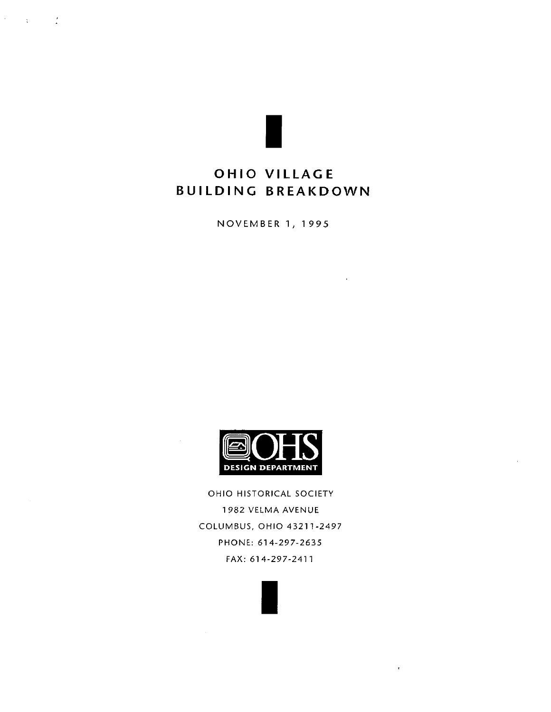$\frac{1}{2}$ 

 $\sim 3\%$ 

## OHIO VILLAGE **BUILDING BREAKDOWN**

**NOVEMBER 1, 1995** 



OHIO HISTORICAL SOCIETY 1982 VELMA AVENUE COLUMBUS, OHIO 43211-2497 PHONE: 614-297-2635 FAX: 614-297-2411

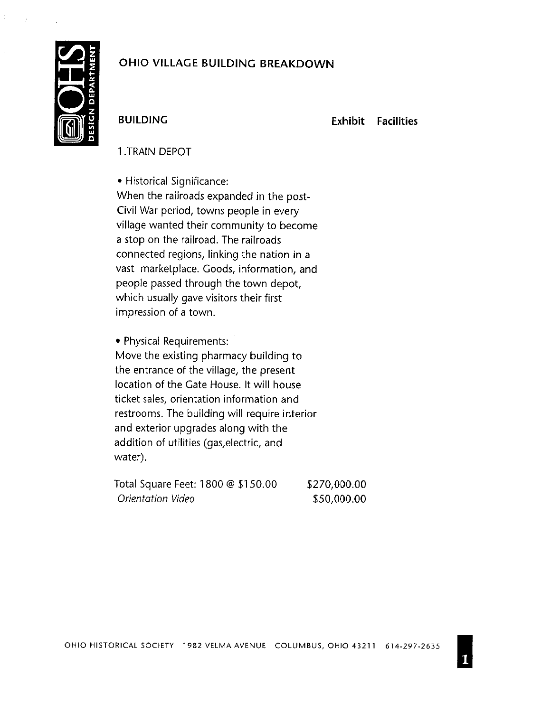

## **BUILDING**

**Exhibit Facilities** 

## 1. TRAIN DEPOT

• Historical Significance: When the railroads expanded in the post-Civil War period, towns people in every village wanted their community to become a stop on the railroad. The railroads connected regions, linking the nation in a vast marketplace. Goods, information, and people passed through the town depot, which usually gave visitors their first impression of a town.

• Physical Requirements:

Move the existing pharmacy building to the entrance of the village, the present location of the Gate House. It will house ticket sales, orientation information and restrooms. The building will require interior and exterior upgrades along with the addition of utilities (gas, electric, and water).

| Total Square Feet: 1800 @ \$150.00 | \$270,000.00 |
|------------------------------------|--------------|
| Orientation Video                  | \$50,000.00  |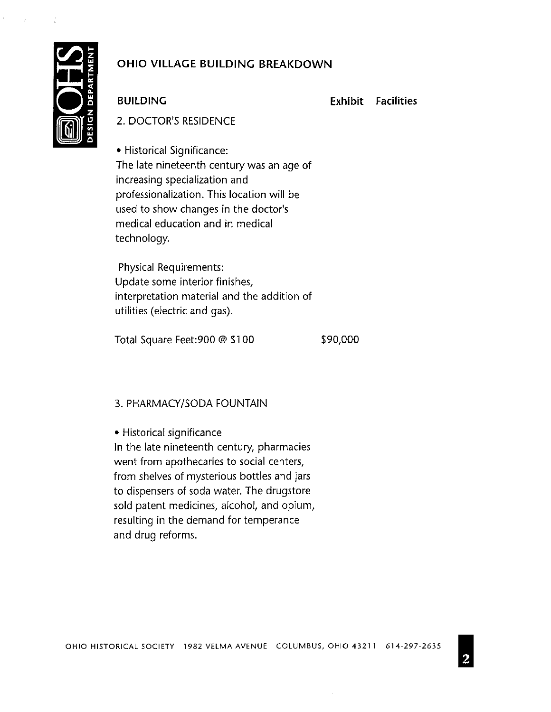

**BUILDING** 

**Exhibit Facilities** 

2. DOCTOR'S RESIDENCE

• Historical Significance: The late nineteenth century was an age of increasing specialization and professionalization. This location will be used to show changes in the doctor's medical education and in medical technology.

**Physical Requirements:** Update some interior finishes, interpretation material and the addition of utilities (electric and gas).

Total Square Feet: 900 @ \$100

\$90,000

## 3. PHARMACY/SODA FOUNTAIN

• Historical significance

In the late nineteenth century, pharmacies went from apothecaries to social centers, from shelves of mysterious bottles and jars to dispensers of soda water. The drugstore sold patent medicines, alcohol, and opium, resulting in the demand for temperance and drug reforms.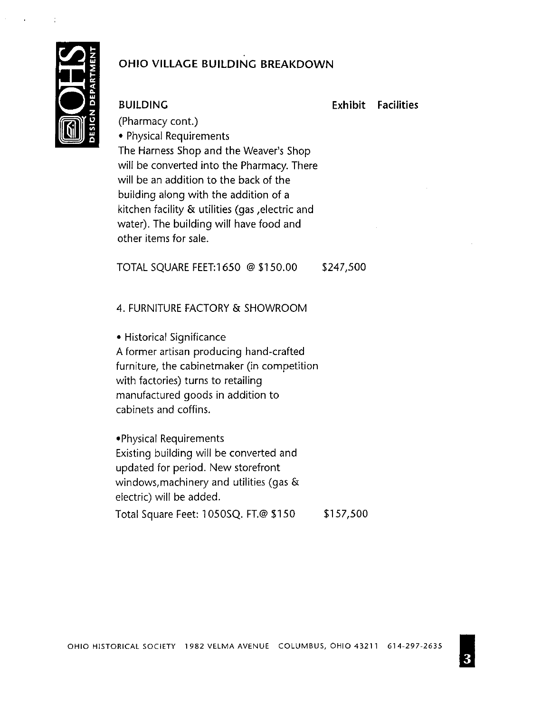

#### **BUILDING**

**Exhibit Facilities** 

(Pharmacy cont.) • Physical Requirements The Harness Shop and the Weaver's Shop will be converted into the Pharmacy. There will be an addition to the back of the building along with the addition of a kitchen facility & utilities (gas , electric and water). The building will have food and other items for sale.

TOTAL SQUARE FEET:1650 @ \$150.00 \$247,500

### 4. FURNITURE FACTORY & SHOWROOM

• Historical Significance A former artisan producing hand-crafted furniture, the cabinet maker (in competition with factories) turns to retailing manufactured goods in addition to cabinets and coffins.

. Physical Requirements Existing building will be converted and updated for period. New storefront windows, machinery and utilities (gas  $\&$ electric) will be added.

Total Square Feet: 1050SQ. FT.@ \$150 \$157,500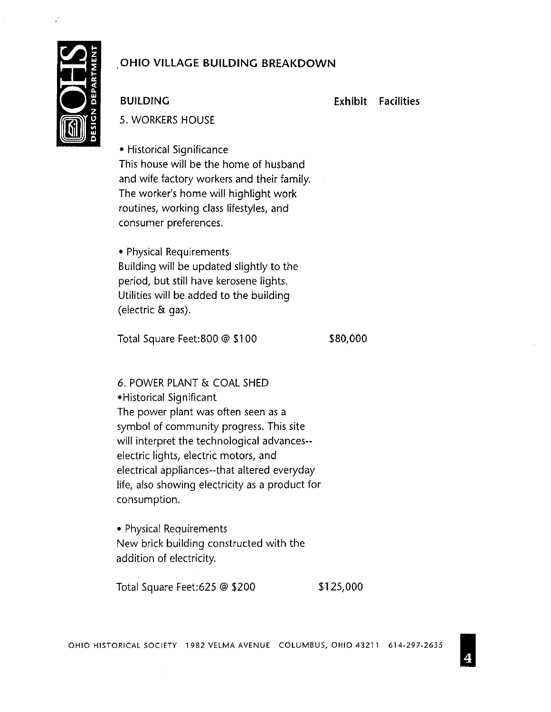

**BUILDING** 

**Exhibit Facilities** 

**5. WORKERS HOUSE** 

• Historical Significance This house will be the home of husband and wife factory workers and their family. The worker's home will highlight work routines, working class lifestyles, and consumer preferences.

• Physical Requirements Building will be updated slightly to the period, but still have kerosene lights. Utilities will be added to the building (electric & gas).

Total Square Feet:800 @ \$100

\$80,000

6. POWER PLANT & COAL SHED • Historical Significant The power plant was often seen as a symbol of community progress. This site will interpret the technological advances-electric lights, electric motors, and electrical appliances--that altered everyday life, also showing electricity as a product for consumption.

• Physical Requirements New brick building constructed with the addition of electricity.

Total Square Feet:625 @ \$200 \$125,000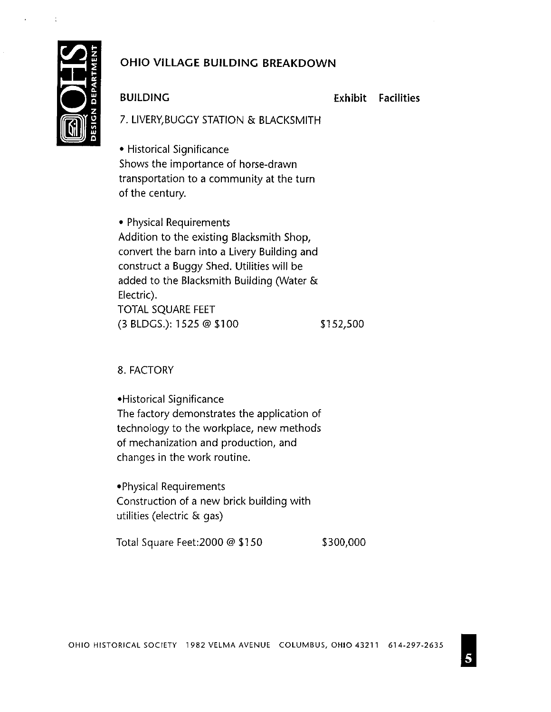

#### **BUILDING**

**Exhibit Facilities** 

7. LIVERY, BUGGY STATION & BLACKSMITH

• Historical Significance Shows the importance of horse-drawn transportation to a community at the turn of the century.

• Physical Requirements Addition to the existing Blacksmith Shop, convert the barn into a Livery Building and construct a Buggy Shed. Utilities will be added to the Blacksmith Building (Water & Electric). TOTAL SQUARE FEET  $(3$  BLDGS.): 1525  $@$  \$100 \$152,500

8. FACTORY

• Historical Significance The factory demonstrates the application of technology to the workplace, new methods of mechanization and production, and changes in the work routine.

• Physical Requirements Construction of a new brick building with utilities (electric & gas)

Total Square Feet: 2000 @ \$150 \$300,000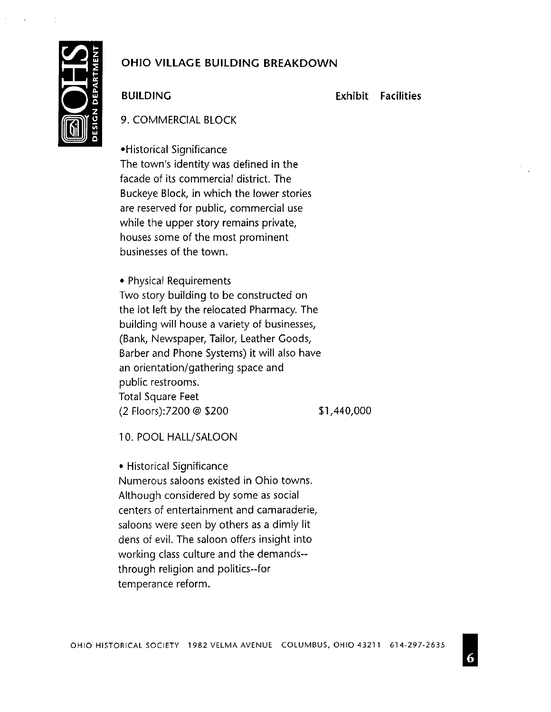

### **BUILDING**

**Exhibit Facilities** 

9. COMMERCIAL BLOCK

•Historical Significance The town's identity was defined in the facade of its commercial district. The Buckeye Block, in which the lower stories are reserved for public, commercial use while the upper story remains private, houses some of the most prominent businesses of the town.

• Physical Requirements Two story building to be constructed on the lot left by the relocated Pharmacy. The building will house a variety of businesses, (Bank, Newspaper, Tailor, Leather Goods, Barber and Phone Systems) it will also have an orientation/gathering space and public restrooms. **Total Square Feet** (2 Floors):7200 @ \$200

\$1,440,000

10. POOL HALL/SALOON

• Historical Significance Numerous saloons existed in Ohio towns. Although considered by some as social centers of entertainment and camaraderie, saloons were seen by others as a dimly lit dens of evil. The saloon offers insight into working class culture and the demands-through religion and politics--for temperance reform.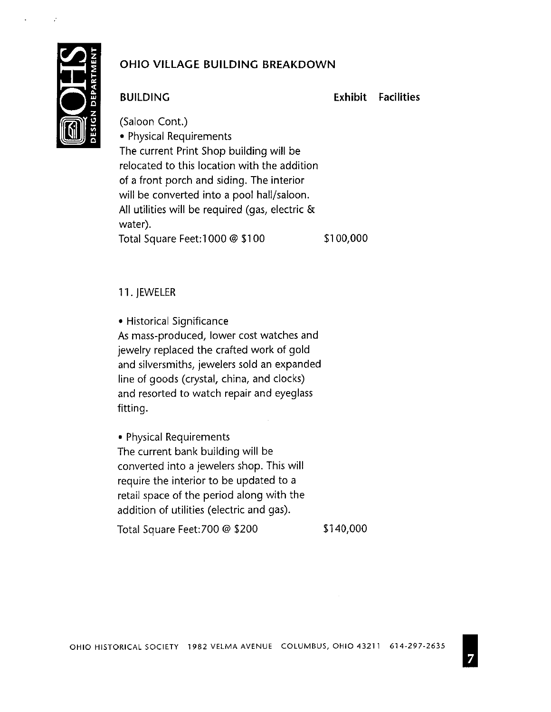

## **BUILDING**

**Exhibit Facilities** 

(Saloon Cont.) • Physical Requirements The current Print Shop building will be relocated to this location with the addition of a front porch and siding. The interior will be converted into a pool hall/saloon. All utilities will be required (gas, electric & water). \$100,000 Total Square Feet: 1000 @ \$100

11. JEWELER

• Historical Significance

As mass-produced, lower cost watches and jewelry replaced the crafted work of gold and silversmiths, jewelers sold an expanded line of goods (crystal, china, and clocks) and resorted to watch repair and eyeglass fitting.

• Physical Requirements The current bank building will be converted into a jewelers shop. This will require the interior to be updated to a retail space of the period along with the addition of utilities (electric and gas).

Total Square Feet: 700 @ \$200

\$140,000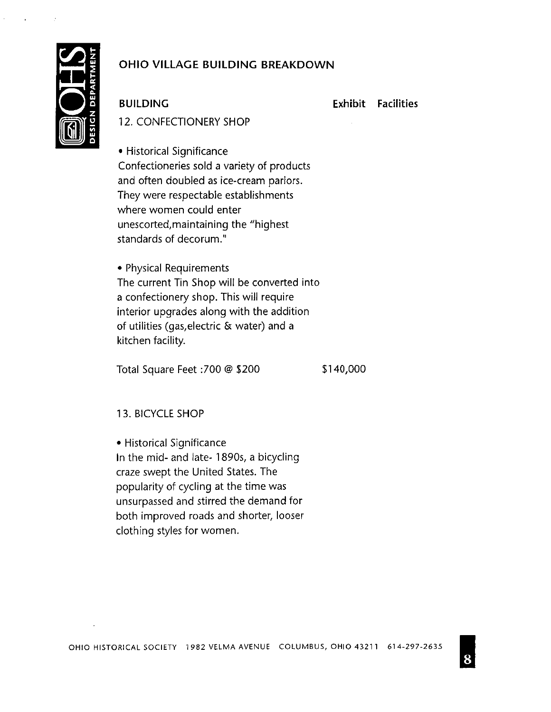

**BUILDING** 

**Exhibit Facilities** 

12. CONFECTIONERY SHOP

• Historical Significance Confectioneries sold a variety of products and often doubled as ice-cream parlors. They were respectable establishments where women could enter unescorted, maintaining the "highest standards of decorum."

• Physical Requirements The current Tin Shop will be converted into a confectionery shop. This will require interior upgrades along with the addition of utilities (gas, electric & water) and a kitchen facility.

Total Square Feet :700 @ \$200

\$140,000

#### 13. BICYCLE SHOP

• Historical Significance In the mid- and late- 1890s, a bicycling craze swept the United States. The popularity of cycling at the time was unsurpassed and stirred the demand for both improved roads and shorter, looser clothing styles for women.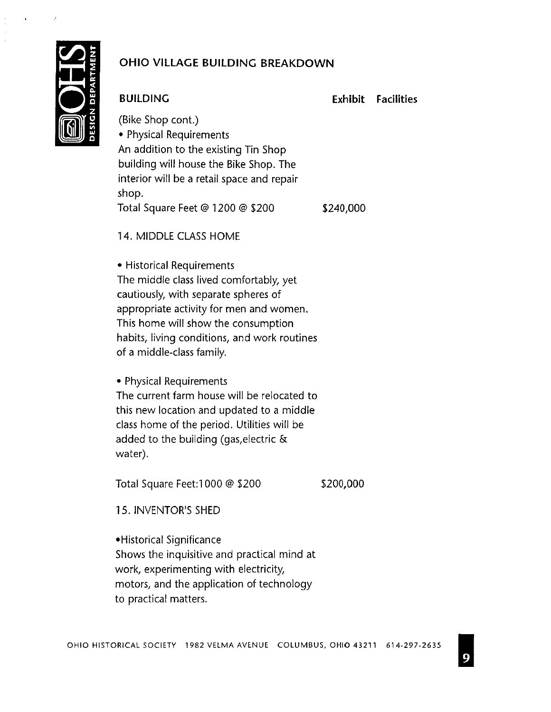

## **BUILDING**

**Exhibit Facilities** 

(Bike Shop cont.) • Physical Requirements An addition to the existing Tin Shop building will house the Bike Shop. The interior will be a retail space and repair shop. \$240,000 Total Square Feet @ 1200 @ \$200

14. MIDDLE CLASS HOME

• Historical Requirements The middle class lived comfortably, yet cautiously, with separate spheres of appropriate activity for men and women. This home will show the consumption habits, living conditions, and work routines of a middle-class family.

• Physical Requirements The current farm house will be relocated to this new location and updated to a middle class home of the period. Utilities will be added to the building (gas, electric & water).

Total Square Feet: 1000 @ \$200

\$200,000

15. INVENTOR'S SHED

• Historical Significance Shows the inquisitive and practical mind at work, experimenting with electricity, motors, and the application of technology to practical matters.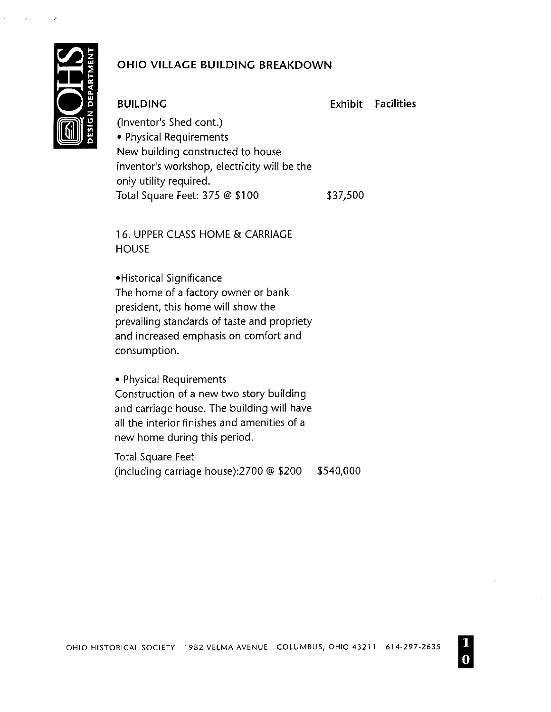

## **BUILDING**

**Exhibit Facilities** 

(Inventor's Shed cont.) • Physical Requirements New building constructed to house inventor's workshop, electricity will be the only utility required. Total Square Feet: 375 @ \$100 \$37,500

16. UPPER CLASS HOME & CARRIAGE **HOUSE** 

•Historical Significance The home of a factory owner or bank president, this home will show the prevailing standards of taste and propriety and increased emphasis on comfort and consumption.

• Physical Requirements Construction of a new two story building and carriage house. The building will have all the interior finishes and amenities of a new home during this period.

**Total Square Feet** \$540,000 (including carriage house):2700 @ \$200

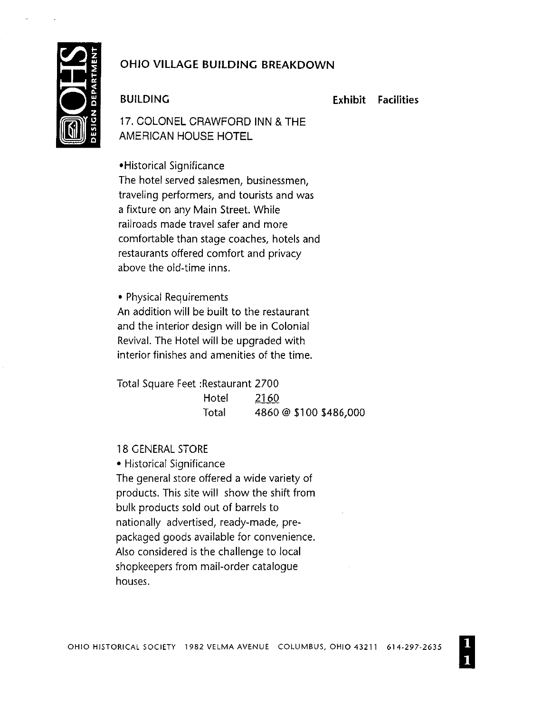

### **BUILDING**

**Exhibit Facilities** 

17. COLONEL CRAWFORD INN & THE AMERICAN HOUSE HOTEL

•Historical Significance The hotel served salesmen, businessmen, traveling performers, and tourists and was a fixture on any Main Street. While railroads made travel safer and more comfortable than stage coaches, hotels and restaurants offered comfort and privacy above the old-time inns.

• Physical Requirements An addition will be built to the restaurant and the interior design will be in Colonial Revival. The Hotel will be upgraded with interior finishes and amenities of the time.

Total Square Feet : Restaurant 2700 2160 Hotel Total 4860 @ \$100 \$486,000

#### **18 GENERAL STORE**

• Historical Significance The general store offered a wide variety of products. This site will show the shift from bulk products sold out of barrels to nationally advertised, ready-made, prepackaged goods available for convenience. Also considered is the challenge to local shopkeepers from mail-order catalogue houses.

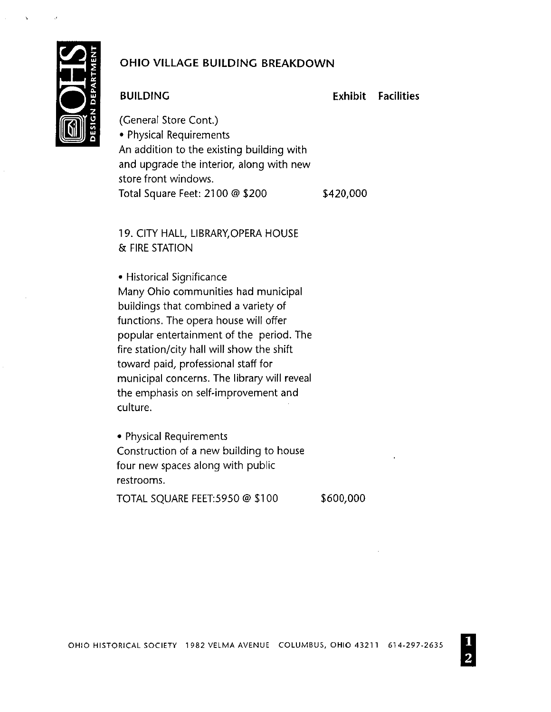

## **BUILDING**

**Exhibit Facilities** 

(General Store Cont.) • Physical Requirements An addition to the existing building with and upgrade the interior, along with new store front windows. Total Square Feet: 2100 @ \$200 \$420,000

19. CITY HALL, LIBRARY, OPERA HOUSE & FIRE STATION

• Historical Significance Many Ohio communities had municipal buildings that combined a variety of functions. The opera house will offer popular entertainment of the period. The fire station/city hall will show the shift toward paid, professional staff for municipal concerns. The library will reveal the emphasis on self-improvement and culture.

• Physical Requirements Construction of a new building to house four new spaces along with public restrooms.

TOTAL SQUARE FEET:5950 @ \$100

\$600,000

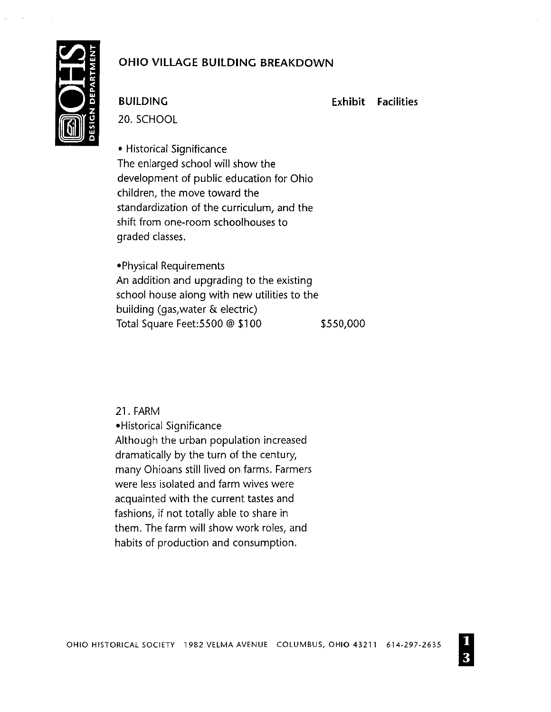

**BUILDING** 

**Exhibit Facilities** 

20. SCHOOL

• Historical Significance The enlarged school will show the development of public education for Ohio children, the move toward the standardization of the curriculum, and the shift from one-room schoolhouses to graded classes.

• Physical Requirements An addition and upgrading to the existing school house along with new utilities to the building (gas, water & electric) Total Square Feet: 5500 @ \$100 \$550,000

21. FARM

•Historical Significance Although the urban population increased dramatically by the turn of the century, many Ohioans still lived on farms. Farmers were less isolated and farm wives were acquainted with the current tastes and fashions, if not totally able to share in them. The farm will show work roles, and habits of production and consumption.